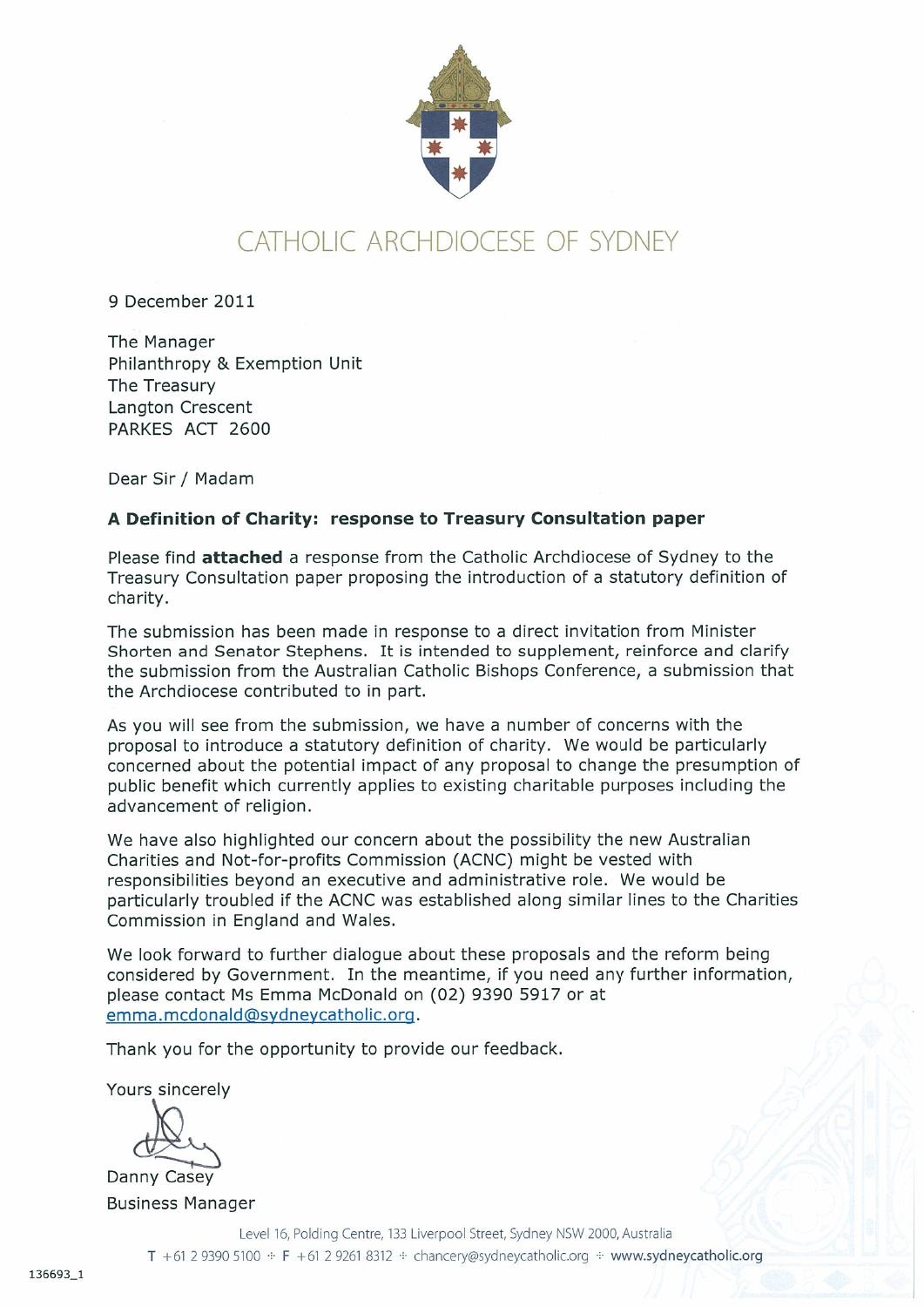

## CATHOLIC ARCHDIOCESE OF SYDNEY

9 December 2011

The Manager Philanthropy & Exemption Unit The Treasury Langton Crescent PARKES ACT 2600

Dear Sir / Madam

## A Definition of Charity: response to Treasury Consultation paper

Please find **attached** a response from the Catholic Archdiocese of Sydney to the Treasury Consultation paper proposing the introduction of a statutory definition of charity.

The submission has been made in response to a direct invitation from Minister Shorten and Senator Stephens. It is intended to supplement, reinforce and clarify the submission from the Australian Catholic Bishops Conference, a submission that the Archdiocese contributed to in part.

As you will see from the submission, we have a number of concerns with the proposal to introduce a statutory definition of charity. We would be particularly concerned about the potential impact of any proposal to change the presumption of public benefit which currently applies to existing charitable purposes including the advancement of religion.

We have also highlighted our concern about the possibility the new Australian Charities and Not-for-profits Commission (ACNC) might be vested with responsibilities beyond an executive and administrative role. We would be particularly troubled if the ACNC was established along similar lines to the Charities Commission in England and Wales.

We look forward to further dialogue about these proposals and the reform being considered by Government. In the meantime, if you need any further information, please contact Ms Emma McDonald on (02) 9390 5917 or at emma.mcdonald@sydneycatholic.org.

Thank you for the opportunity to provide our feedback.

Yours sincerely

Danny Casey **Business Manager** 

> Level 16, Polding Centre, 133 Liverpool Street, Sydney NSW 2000, Australia T +61 2 9390 5100 · F +61 2 9261 8312 · chancery@sydneycatholic.org · www.sydneycatholic.org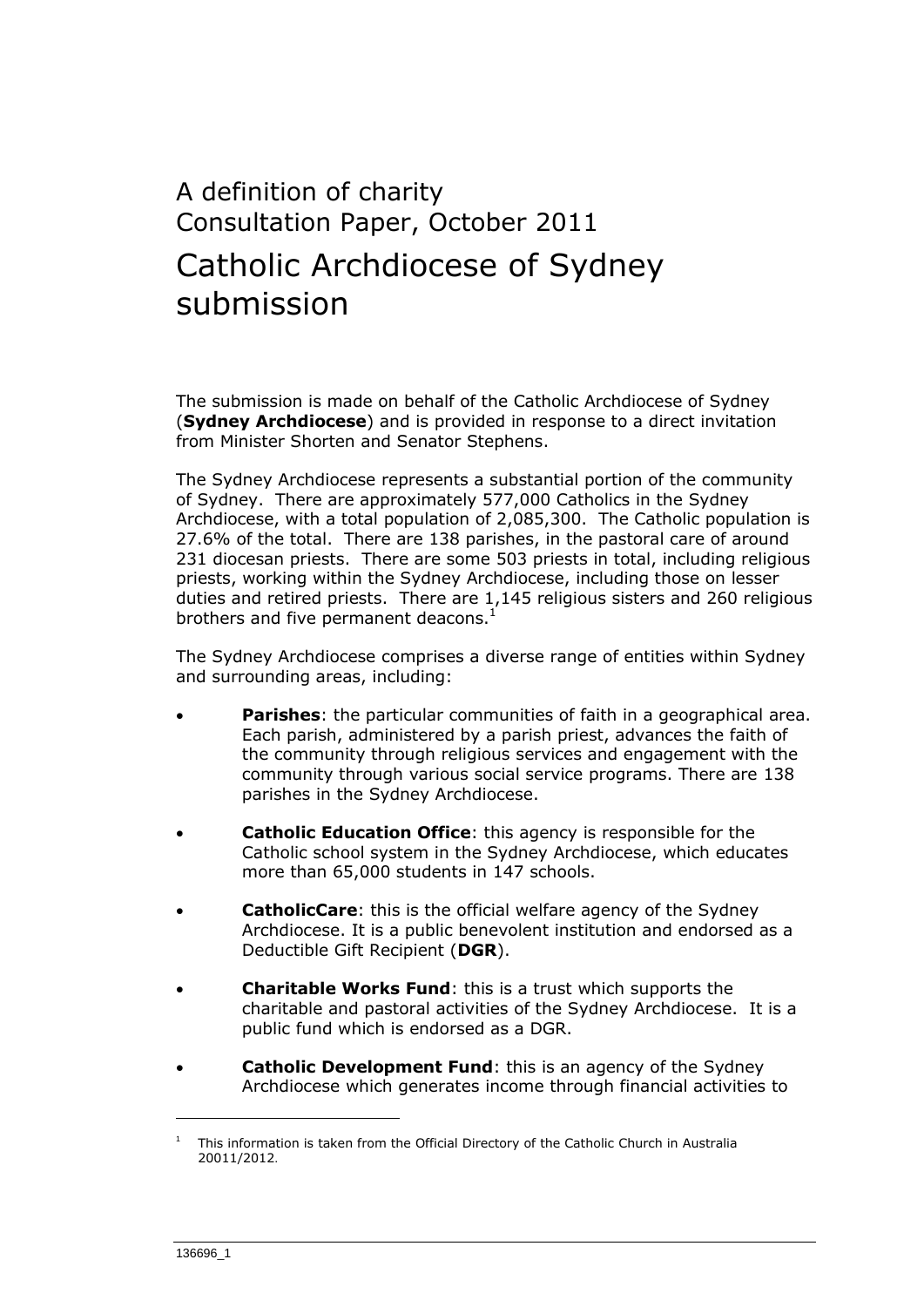# A definition of charity Consultation Paper, October 2011 Catholic Archdiocese of Sydney submission

The submission is made on behalf of the Catholic Archdiocese of Sydney (**Sydney Archdiocese**) and is provided in response to a direct invitation from Minister Shorten and Senator Stephens.

The Sydney Archdiocese represents a substantial portion of the community of Sydney. There are approximately 577,000 Catholics in the Sydney Archdiocese, with a total population of 2,085,300. The Catholic population is 27.6% of the total. There are 138 parishes, in the pastoral care of around 231 diocesan priests. There are some 503 priests in total, including religious priests, working within the Sydney Archdiocese, including those on lesser duties and retired priests. There are 1,145 religious sisters and 260 religious brothers and five permanent deacons. $<sup>1</sup>$ </sup>

The Sydney Archdiocese comprises a diverse range of entities within Sydney and surrounding areas, including:

- **Parishes**: the particular communities of faith in a geographical area. Each parish, administered by a parish priest, advances the faith of the community through religious services and engagement with the community through various social service programs. There are 138 parishes in the Sydney Archdiocese.
- **Catholic Education Office**: this agency is responsible for the Catholic school system in the Sydney Archdiocese, which educates more than 65,000 students in 147 schools.
- **CatholicCare**: this is the official welfare agency of the Sydney Archdiocese. It is a public benevolent institution and endorsed as a Deductible Gift Recipient (**DGR**).
- **Charitable Works Fund**: this is a trust which supports the charitable and pastoral activities of the Sydney Archdiocese. It is a public fund which is endorsed as a DGR.
- **Catholic Development Fund**: this is an agency of the Sydney Archdiocese which generates income through financial activities to

<sup>1</sup> This information is taken from the Official Directory of the Catholic Church in Australia 20011/2012.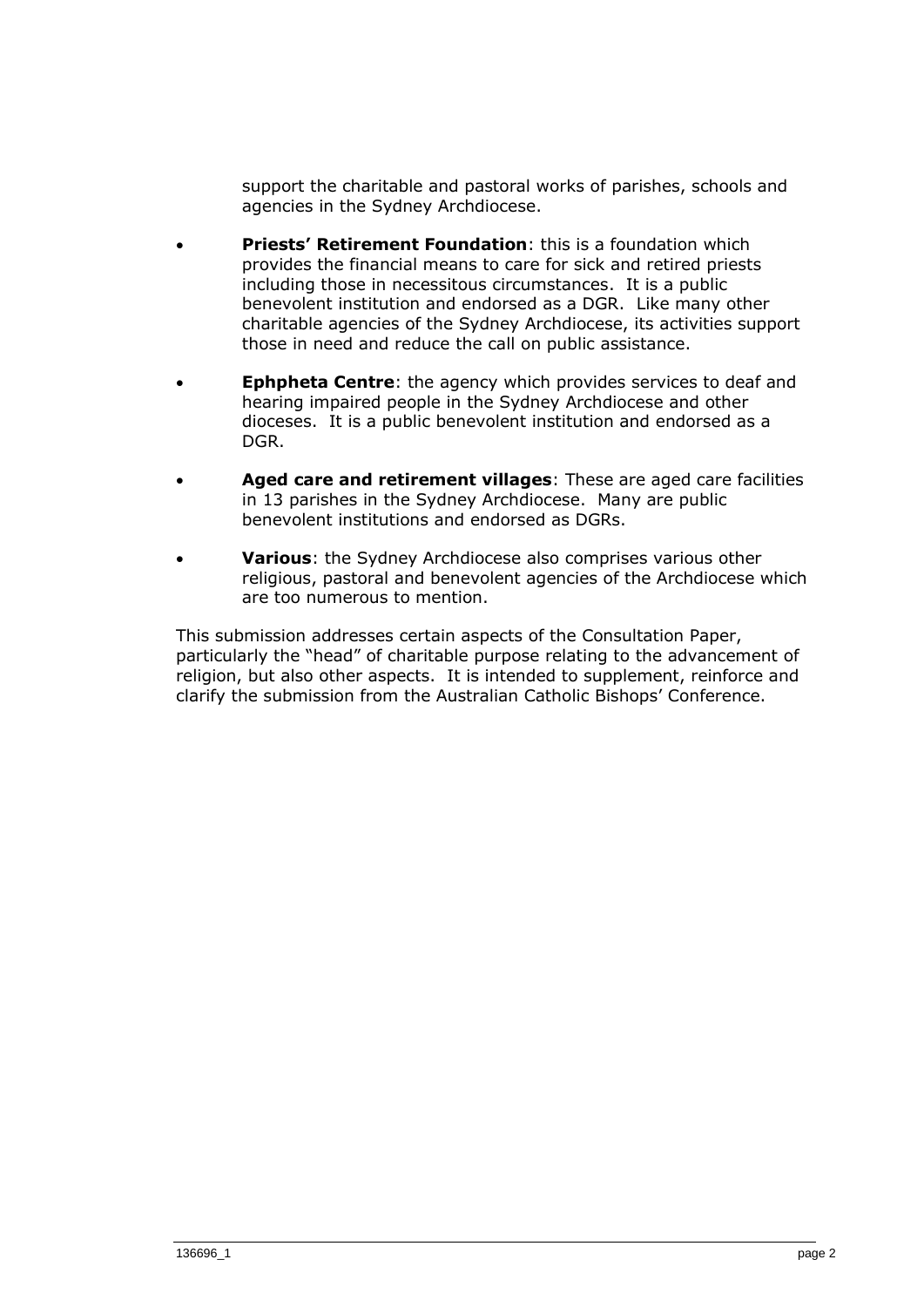support the charitable and pastoral works of parishes, schools and agencies in the Sydney Archdiocese.

- **Priests' Retirement Foundation**: this is a foundation which provides the financial means to care for sick and retired priests including those in necessitous circumstances. It is a public benevolent institution and endorsed as a DGR. Like many other charitable agencies of the Sydney Archdiocese, its activities support those in need and reduce the call on public assistance.
- **Ephpheta Centre**: the agency which provides services to deaf and hearing impaired people in the Sydney Archdiocese and other dioceses. It is a public benevolent institution and endorsed as a DGR.
- **Aged care and retirement villages**: These are aged care facilities in 13 parishes in the Sydney Archdiocese. Many are public benevolent institutions and endorsed as DGRs.
- **Various**: the Sydney Archdiocese also comprises various other religious, pastoral and benevolent agencies of the Archdiocese which are too numerous to mention.

This submission addresses certain aspects of the Consultation Paper, particularly the "head" of charitable purpose relating to the advancement of religion, but also other aspects. It is intended to supplement, reinforce and clarify the submission from the Australian Catholic Bishops' Conference.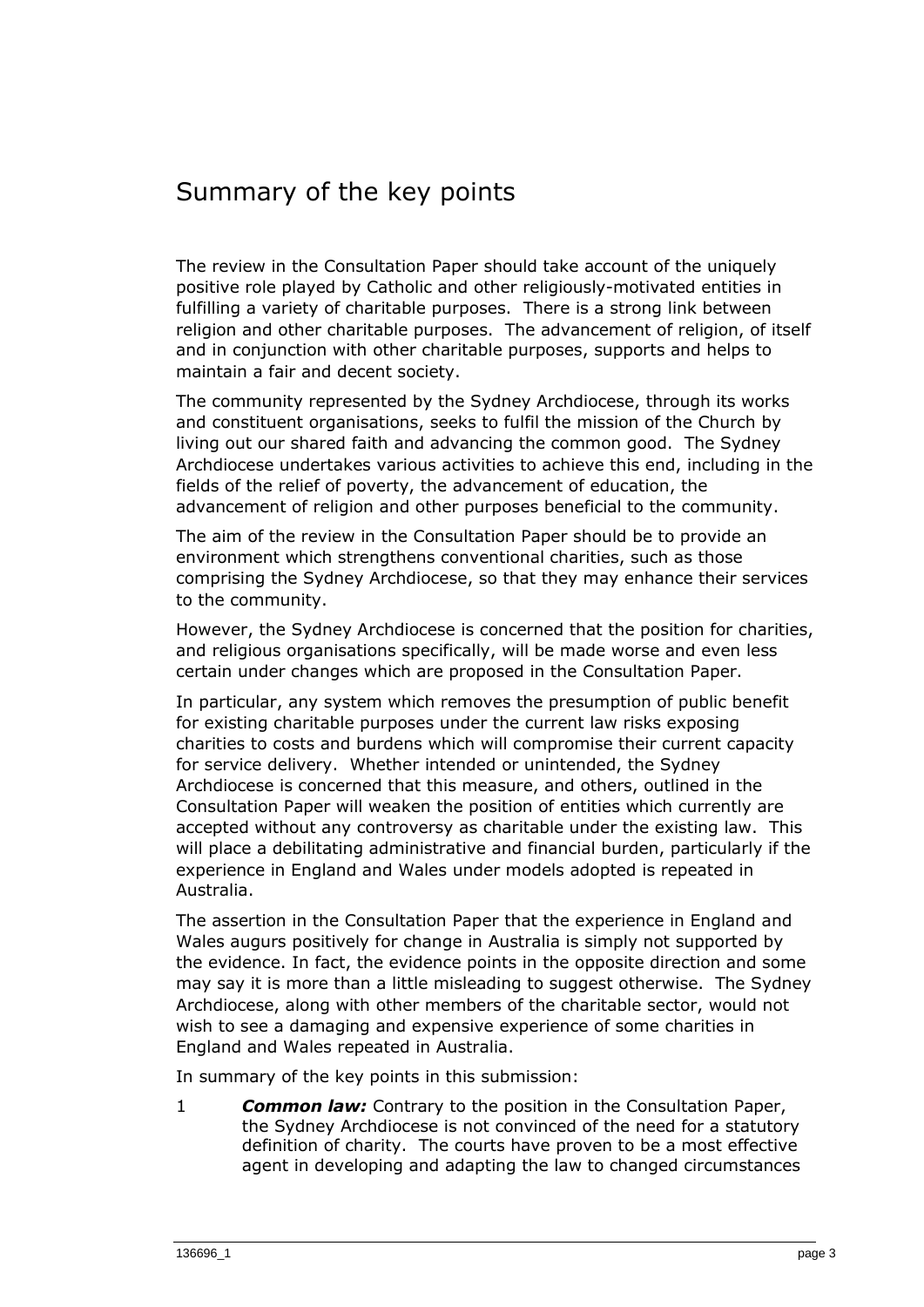## Summary of the key points

The review in the Consultation Paper should take account of the uniquely positive role played by Catholic and other religiously-motivated entities in fulfilling a variety of charitable purposes. There is a strong link between religion and other charitable purposes. The advancement of religion, of itself and in conjunction with other charitable purposes, supports and helps to maintain a fair and decent society.

The community represented by the Sydney Archdiocese, through its works and constituent organisations, seeks to fulfil the mission of the Church by living out our shared faith and advancing the common good. The Sydney Archdiocese undertakes various activities to achieve this end, including in the fields of the relief of poverty, the advancement of education, the advancement of religion and other purposes beneficial to the community.

The aim of the review in the Consultation Paper should be to provide an environment which strengthens conventional charities, such as those comprising the Sydney Archdiocese, so that they may enhance their services to the community.

However, the Sydney Archdiocese is concerned that the position for charities, and religious organisations specifically, will be made worse and even less certain under changes which are proposed in the Consultation Paper.

In particular, any system which removes the presumption of public benefit for existing charitable purposes under the current law risks exposing charities to costs and burdens which will compromise their current capacity for service delivery. Whether intended or unintended, the Sydney Archdiocese is concerned that this measure, and others, outlined in the Consultation Paper will weaken the position of entities which currently are accepted without any controversy as charitable under the existing law. This will place a debilitating administrative and financial burden, particularly if the experience in England and Wales under models adopted is repeated in Australia.

The assertion in the Consultation Paper that the experience in England and Wales augurs positively for change in Australia is simply not supported by the evidence. In fact, the evidence points in the opposite direction and some may say it is more than a little misleading to suggest otherwise. The Sydney Archdiocese, along with other members of the charitable sector, would not wish to see a damaging and expensive experience of some charities in England and Wales repeated in Australia.

In summary of the key points in this submission:

1 *Common law:* Contrary to the position in the Consultation Paper, the Sydney Archdiocese is not convinced of the need for a statutory definition of charity. The courts have proven to be a most effective agent in developing and adapting the law to changed circumstances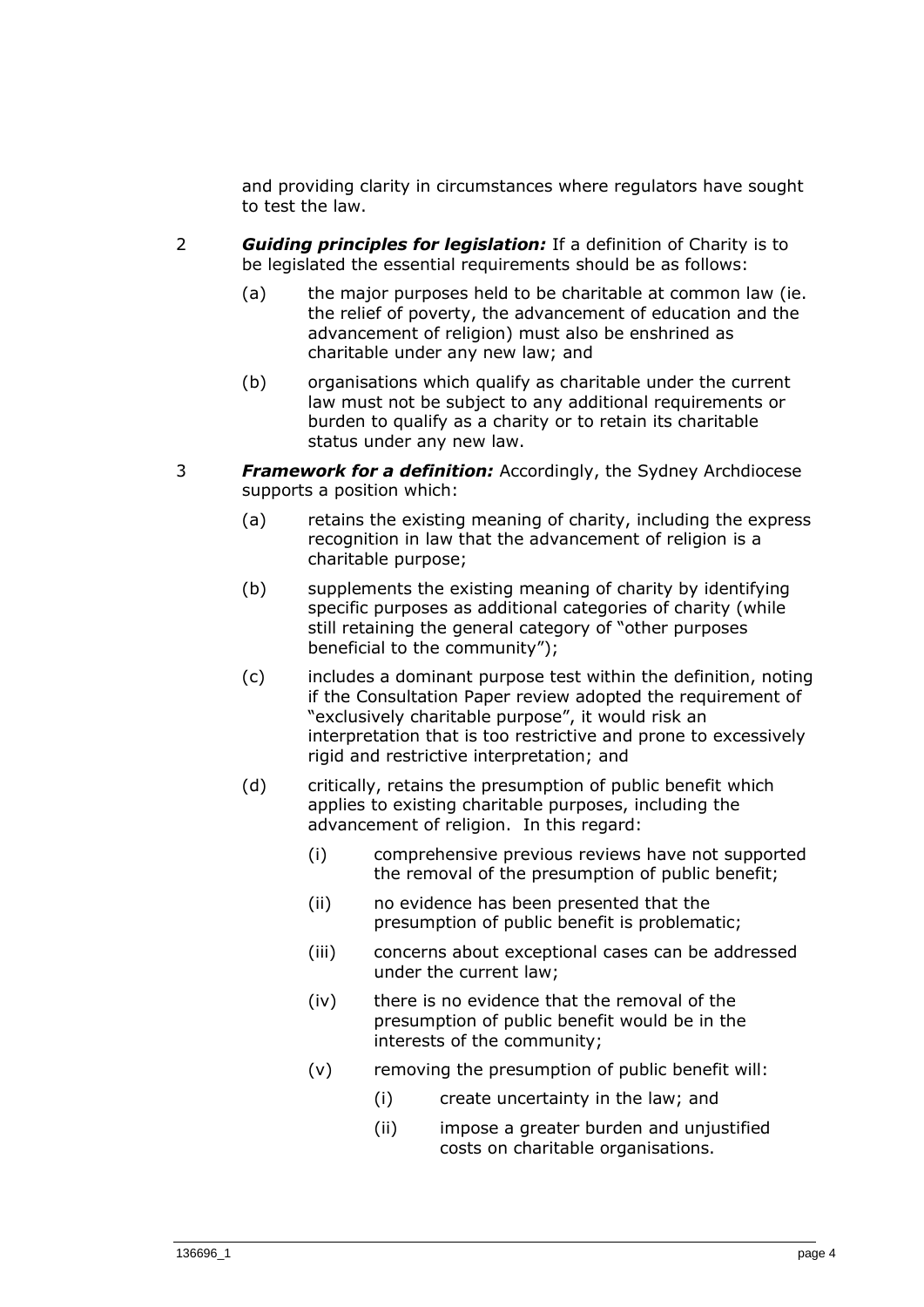and providing clarity in circumstances where regulators have sought to test the law.

- 2 *Guiding principles for legislation:* If a definition of Charity is to be legislated the essential requirements should be as follows:
	- (a) the major purposes held to be charitable at common law (ie. the relief of poverty, the advancement of education and the advancement of religion) must also be enshrined as charitable under any new law; and
	- (b) organisations which qualify as charitable under the current law must not be subject to any additional requirements or burden to qualify as a charity or to retain its charitable status under any new law.
- 3 *Framework for a definition:* Accordingly, the Sydney Archdiocese supports a position which:
	- (a) retains the existing meaning of charity, including the express recognition in law that the advancement of religion is a charitable purpose;
	- (b) supplements the existing meaning of charity by identifying specific purposes as additional categories of charity (while still retaining the general category of "other purposes beneficial to the community");
	- (c) includes a dominant purpose test within the definition, noting if the Consultation Paper review adopted the requirement of "exclusively charitable purpose", it would risk an interpretation that is too restrictive and prone to excessively rigid and restrictive interpretation; and
	- (d) critically, retains the presumption of public benefit which applies to existing charitable purposes, including the advancement of religion. In this regard:
		- (i) comprehensive previous reviews have not supported the removal of the presumption of public benefit;
		- (ii) no evidence has been presented that the presumption of public benefit is problematic;
		- (iii) concerns about exceptional cases can be addressed under the current law;
		- (iv) there is no evidence that the removal of the presumption of public benefit would be in the interests of the community;
		- (v) removing the presumption of public benefit will:
			- (i) create uncertainty in the law; and
			- (ii) impose a greater burden and unjustified costs on charitable organisations.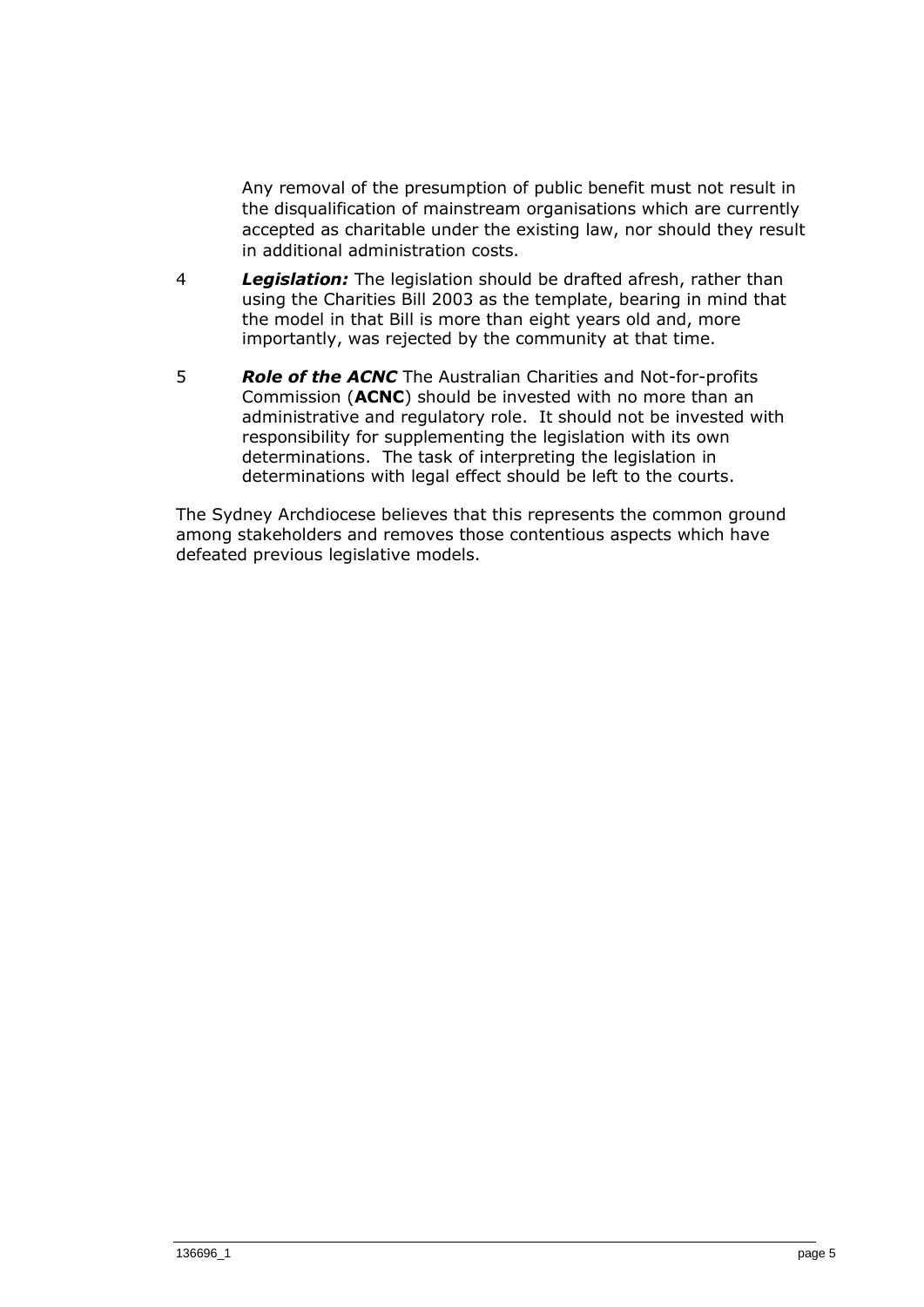Any removal of the presumption of public benefit must not result in the disqualification of mainstream organisations which are currently accepted as charitable under the existing law, nor should they result in additional administration costs.

- 4 *Legislation:* The legislation should be drafted afresh, rather than using the Charities Bill 2003 as the template, bearing in mind that the model in that Bill is more than eight years old and, more importantly, was rejected by the community at that time.
- 5 *Role of the ACNC* The Australian Charities and Not-for-profits Commission (**ACNC**) should be invested with no more than an administrative and regulatory role. It should not be invested with responsibility for supplementing the legislation with its own determinations. The task of interpreting the legislation in determinations with legal effect should be left to the courts.

The Sydney Archdiocese believes that this represents the common ground among stakeholders and removes those contentious aspects which have defeated previous legislative models.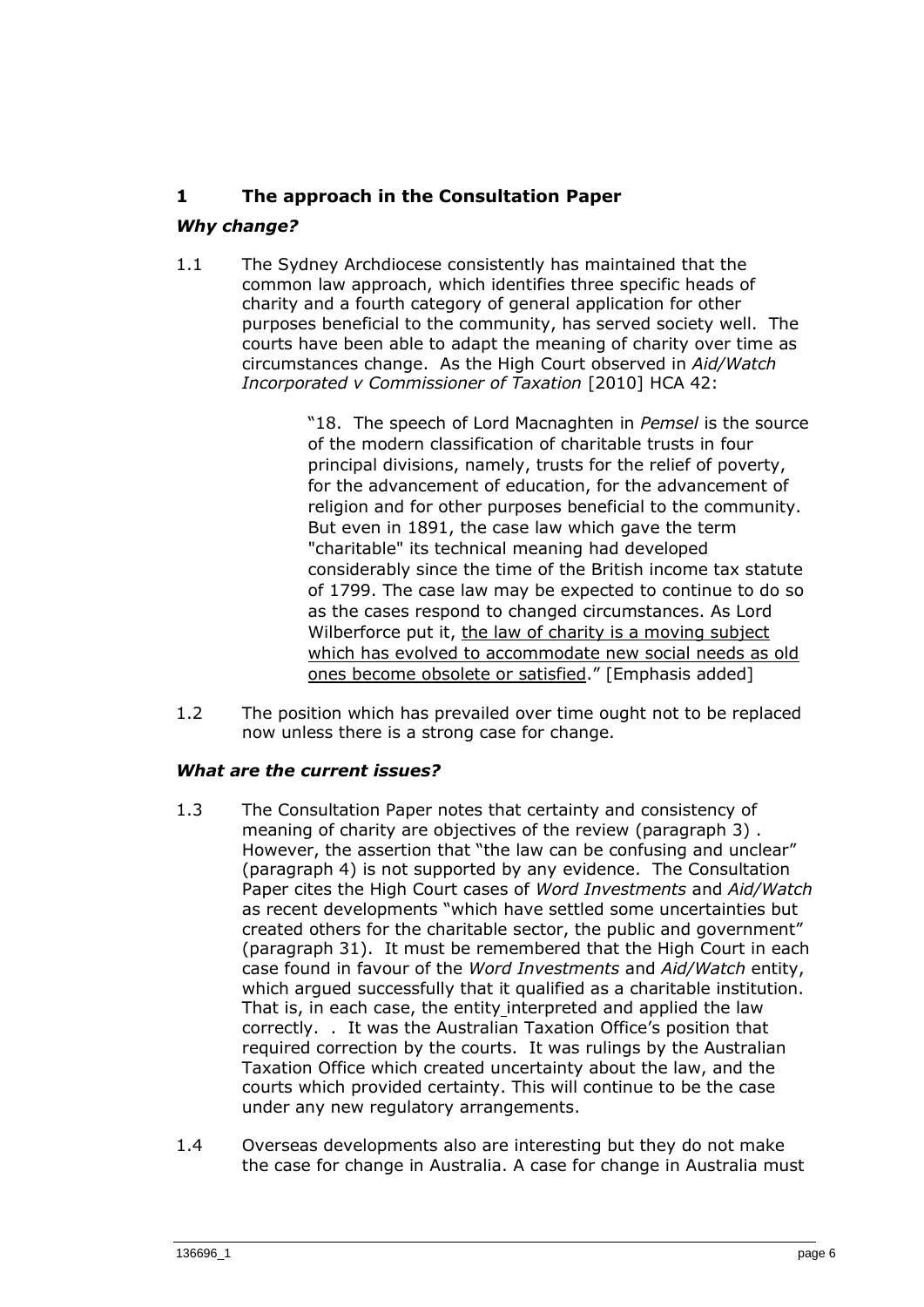## **1 The approach in the Consultation Paper**

## *Why change?*

1.1 The Sydney Archdiocese consistently has maintained that the common law approach, which identifies three specific heads of charity and a fourth category of general application for other purposes beneficial to the community, has served society well. The courts have been able to adapt the meaning of charity over time as circumstances change. As the High Court observed in *Aid/Watch Incorporated v Commissioner of Taxation* [2010] HCA 42:

> "18. The speech of Lord Macnaghten in *Pemsel* is the source of the modern classification of charitable trusts in four principal divisions, namely, trusts for the relief of poverty, for the advancement of education, for the advancement of religion and for other purposes beneficial to the community. But even in 1891, the case law which gave the term "charitable" its technical meaning had developed considerably since the time of the British income tax statute of 1799. The case law may be expected to continue to do so as the cases respond to changed circumstances. As Lord Wilberforce put it, the law of charity is a moving subject which has evolved to accommodate new social needs as old ones become obsolete or satisfied." [Emphasis added]

1.2 The position which has prevailed over time ought not to be replaced now unless there is a strong case for change.

## *What are the current issues?*

- 1.3 The Consultation Paper notes that certainty and consistency of meaning of charity are objectives of the review (paragraph 3) . However, the assertion that "the law can be confusing and unclear" (paragraph 4) is not supported by any evidence. The Consultation Paper cites the High Court cases of *Word Investments* and *Aid/Watch* as recent developments "which have settled some uncertainties but created others for the charitable sector, the public and government" (paragraph 31). It must be remembered that the High Court in each case found in favour of the *Word Investments* and *Aid/Watch* entity, which argued successfully that it qualified as a charitable institution. That is, in each case, the entity interpreted and applied the law correctly. . It was the Australian Taxation Office's position that required correction by the courts. It was rulings by the Australian Taxation Office which created uncertainty about the law, and the courts which provided certainty. This will continue to be the case under any new regulatory arrangements.
- 1.4 Overseas developments also are interesting but they do not make the case for change in Australia. A case for change in Australia must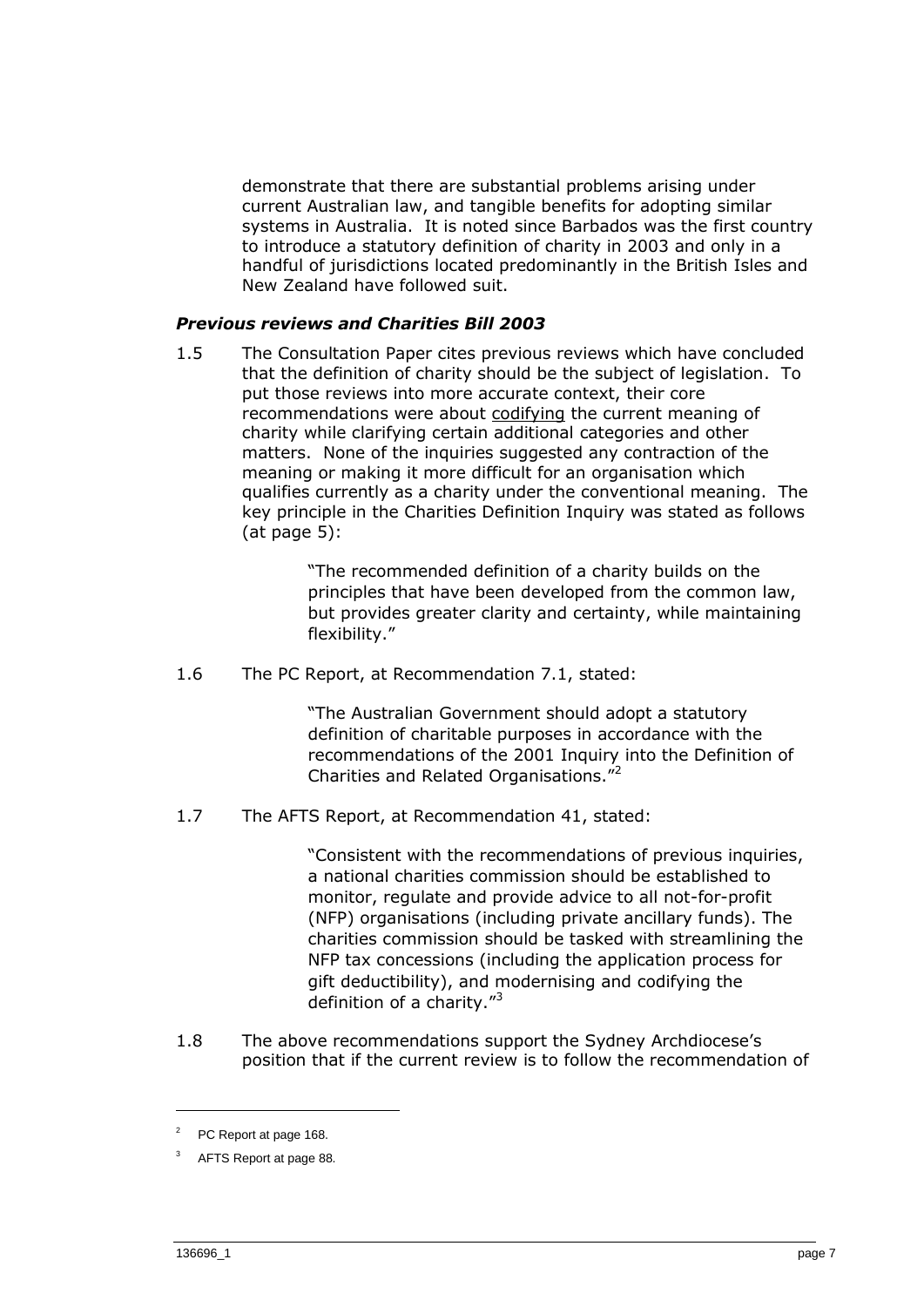demonstrate that there are substantial problems arising under current Australian law, and tangible benefits for adopting similar systems in Australia. It is noted since Barbados was the first country to introduce a statutory definition of charity in 2003 and only in a handful of jurisdictions located predominantly in the British Isles and New Zealand have followed suit.

#### *Previous reviews and Charities Bill 2003*

1.5 The Consultation Paper cites previous reviews which have concluded that the definition of charity should be the subject of legislation. To put those reviews into more accurate context, their core recommendations were about codifying the current meaning of charity while clarifying certain additional categories and other matters. None of the inquiries suggested any contraction of the meaning or making it more difficult for an organisation which qualifies currently as a charity under the conventional meaning. The key principle in the Charities Definition Inquiry was stated as follows  $(at\,\,\text{page}\,5)$ :

> "The recommended definition of a charity builds on the principles that have been developed from the common law, but provides greater clarity and certainty, while maintaining flexibility."

1.6 The PC Report, at Recommendation 7.1, stated:

"The Australian Government should adopt a statutory definition of charitable purposes in accordance with the recommendations of the 2001 Inquiry into the Definition of Charities and Related Organisations."<sup>2</sup>

1.7 The AFTS Report, at Recommendation 41, stated:

"Consistent with the recommendations of previous inquiries, a national charities commission should be established to monitor, regulate and provide advice to all not-for-profit (NFP) organisations (including private ancillary funds). The charities commission should be tasked with streamlining the NFP tax concessions (including the application process for gift deductibility), and modernising and codifying the definition of a charity."<sup>3</sup>

1.8 The above recommendations support the Sydney Archdiocese's position that if the current review is to follow the recommendation of

 $2^2$  PC Report at page 168.

<sup>3</sup> AFTS Report at page 88.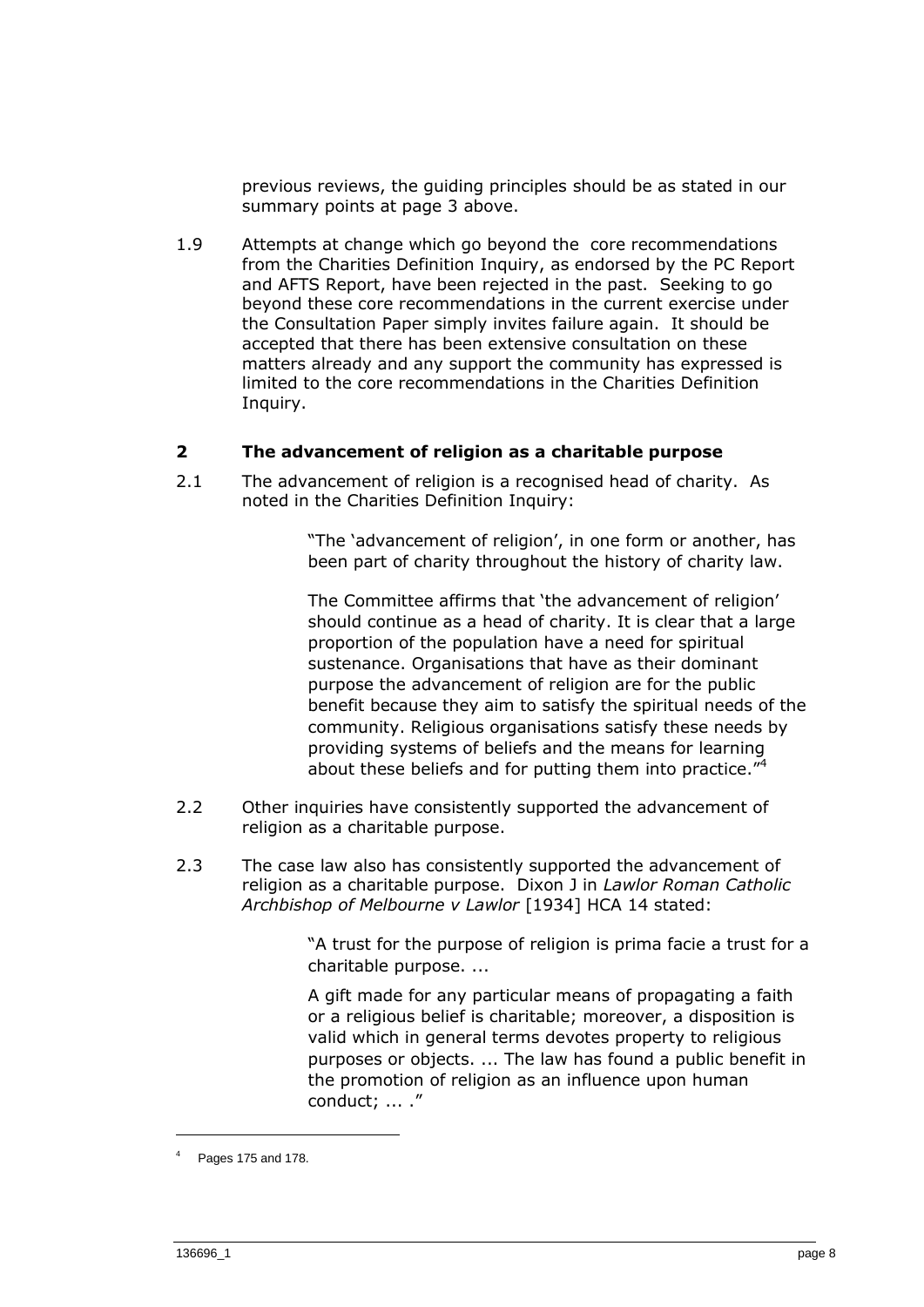previous reviews, the guiding principles should be as stated in our summary points at page 3 above.

1.9 Attempts at change which go beyond the core recommendations from the Charities Definition Inquiry, as endorsed by the PC Report and AFTS Report, have been rejected in the past. Seeking to go beyond these core recommendations in the current exercise under the Consultation Paper simply invites failure again. It should be accepted that there has been extensive consultation on these matters already and any support the community has expressed is limited to the core recommendations in the Charities Definition Inquiry.

## **2 The advancement of religion as a charitable purpose**

2.1 The advancement of religion is a recognised head of charity. As noted in the Charities Definition Inquiry:

> "The 'advancement of religion', in one form or another, has been part of charity throughout the history of charity law.

The Committee affirms that 'the advancement of religion' should continue as a head of charity. It is clear that a large proportion of the population have a need for spiritual sustenance. Organisations that have as their dominant purpose the advancement of religion are for the public benefit because they aim to satisfy the spiritual needs of the community. Religious organisations satisfy these needs by providing systems of beliefs and the means for learning about these beliefs and for putting them into practice."<sup>4</sup>

- 2.2 Other inquiries have consistently supported the advancement of religion as a charitable purpose.
- 2.3 The case law also has consistently supported the advancement of religion as a charitable purpose. Dixon J in *Lawlor Roman Catholic Archbishop of Melbourne v Lawlor* [1934] HCA 14 stated:

"A trust for the purpose of religion is prima facie a trust for a charitable purpose. ...

A gift made for any particular means of propagating a faith or a religious belief is charitable; moreover, a disposition is valid which in general terms devotes property to religious purposes or objects. ... The law has found a public benefit in the promotion of religion as an influence upon human conduct; ... ."

<sup>4</sup> Pages 175 and 178.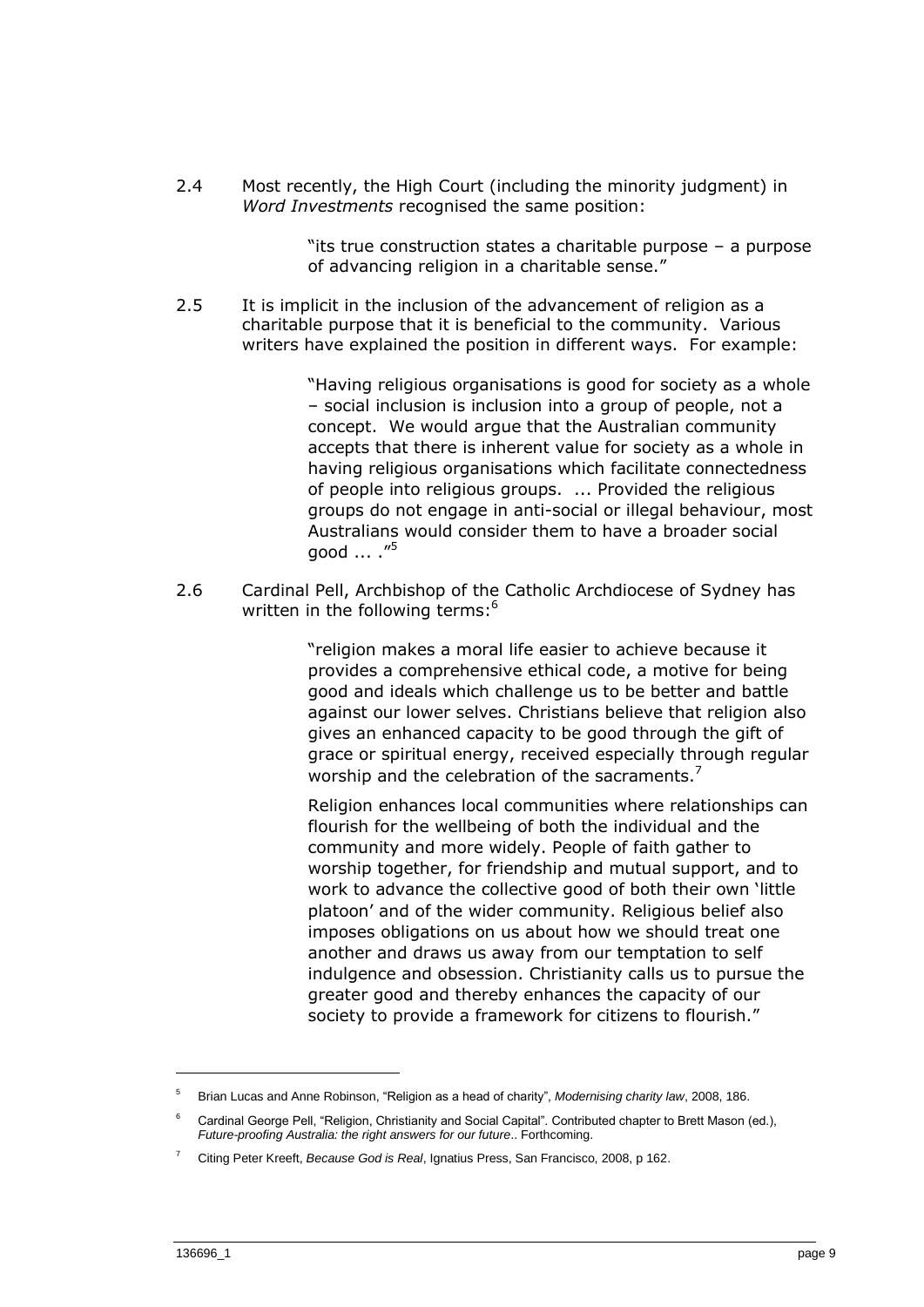2.4 Most recently, the High Court (including the minority judgment) in *Word Investments* recognised the same position:

> "its true construction states a charitable purpose – a purpose of advancing religion in a charitable sense."

2.5 It is implicit in the inclusion of the advancement of religion as a charitable purpose that it is beneficial to the community. Various writers have explained the position in different ways. For example:

> "Having religious organisations is good for society as a whole – social inclusion is inclusion into a group of people, not a concept. We would argue that the Australian community accepts that there is inherent value for society as a whole in having religious organisations which facilitate connectedness of people into religious groups. ... Provided the religious groups do not engage in anti-social or illegal behaviour, most Australians would consider them to have a broader social good ... ."<sup>5</sup>

2.6 Cardinal Pell, Archbishop of the Catholic Archdiocese of Sydney has written in the following terms:<sup>6</sup>

> "religion makes a moral life easier to achieve because it provides a comprehensive ethical code, a motive for being good and ideals which challenge us to be better and battle against our lower selves. Christians believe that religion also gives an enhanced capacity to be good through the gift of grace or spiritual energy, received especially through regular worship and the celebration of the sacraments. $<sup>7</sup>$ </sup>

> Religion enhances local communities where relationships can flourish for the wellbeing of both the individual and the community and more widely. People of faith gather to worship together, for friendship and mutual support, and to work to advance the collective good of both their own 'little platoon' and of the wider community. Religious belief also imposes obligations on us about how we should treat one another and draws us away from our temptation to self indulgence and obsession. Christianity calls us to pursue the greater good and thereby enhances the capacity of our society to provide a framework for citizens to flourish."

<sup>5</sup> Brian Lucas and Anne Robinson, "Religion as a head of charity", *Modernising charity law*, 2008, 186.

<sup>6</sup> Cardinal George Pell, "Religion, Christianity and Social Capital". Contributed chapter to Brett Mason (ed.), *Future-proofing Australia: the right answers for our future*.. Forthcoming.

<sup>7</sup> Citing Peter Kreeft, *Because God is Real*, Ignatius Press, San Francisco, 2008, p 162.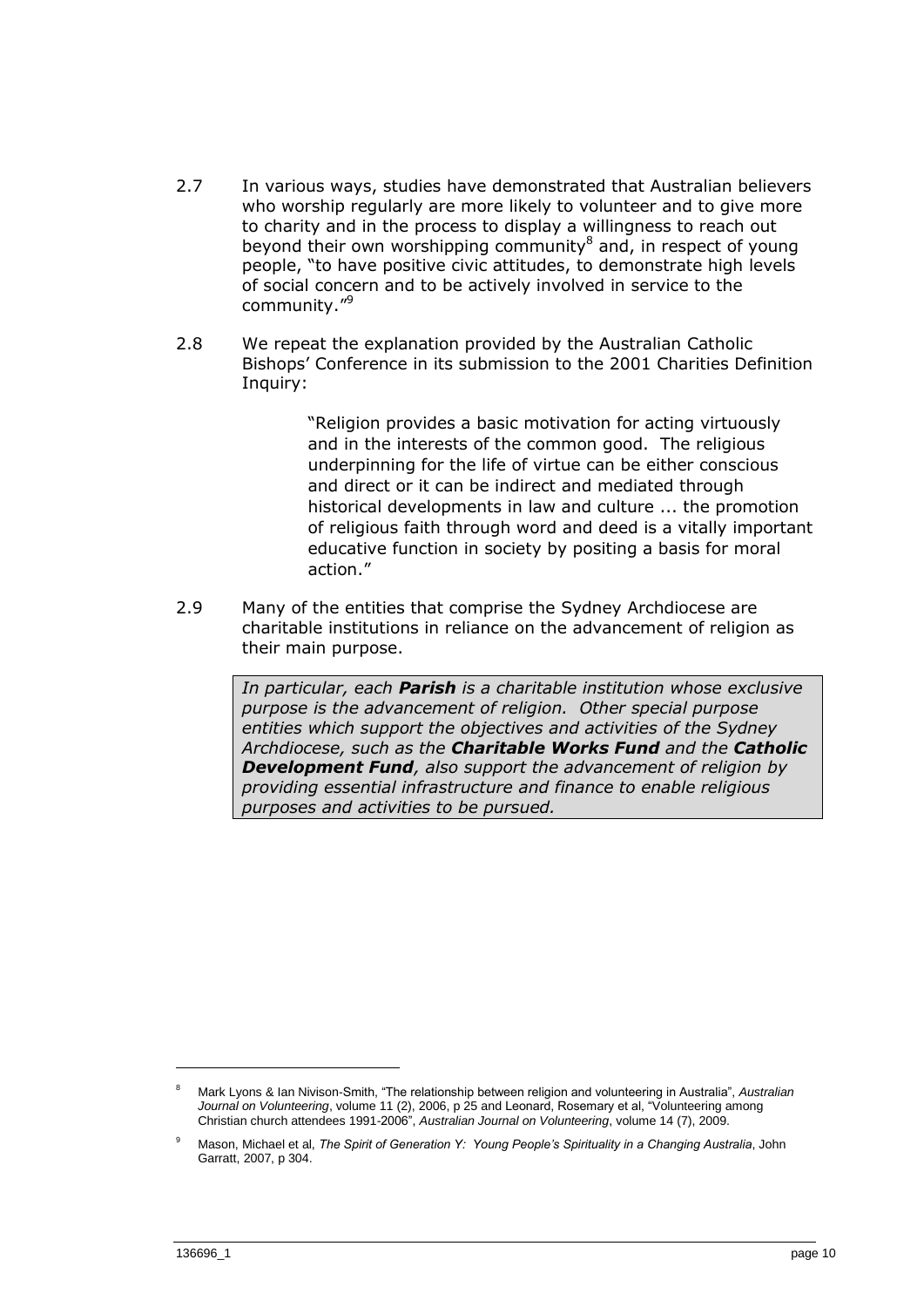- 2.7 In various ways, studies have demonstrated that Australian believers who worship regularly are more likely to volunteer and to give more to charity and in the process to display a willingness to reach out beyond their own worshipping community<sup>8</sup> and, in respect of young people, "to have positive civic attitudes, to demonstrate high levels of social concern and to be actively involved in service to the community."<sup>9</sup>
- 2.8 We repeat the explanation provided by the Australian Catholic Bishops' Conference in its submission to the 2001 Charities Definition Inquiry:

"Religion provides a basic motivation for acting virtuously and in the interests of the common good. The religious underpinning for the life of virtue can be either conscious and direct or it can be indirect and mediated through historical developments in law and culture ... the promotion of religious faith through word and deed is a vitally important educative function in society by positing a basis for moral action."

2.9 Many of the entities that comprise the Sydney Archdiocese are charitable institutions in reliance on the advancement of religion as their main purpose.

> *In particular, each Parish is a charitable institution whose exclusive purpose is the advancement of religion. Other special purpose entities which support the objectives and activities of the Sydney Archdiocese, such as the Charitable Works Fund and the Catholic Development Fund, also support the advancement of religion by providing essential infrastructure and finance to enable religious purposes and activities to be pursued.*

<sup>8</sup> Mark Lyons & Ian Nivison-Smith, "The relationship between religion and volunteering in Australia", *Australian Journal on Volunteering*, volume 11 (2), 2006, p 25 and Leonard, Rosemary et al, "Volunteering among Christian church attendees 1991-2006", *Australian Journal on Volunteering*, volume 14 (7), 2009.

<sup>9</sup> Mason, Michael et al, *The Spirit of Generation Y: Young People's Spirituality in a Changing Australia*, John Garratt, 2007, p 304.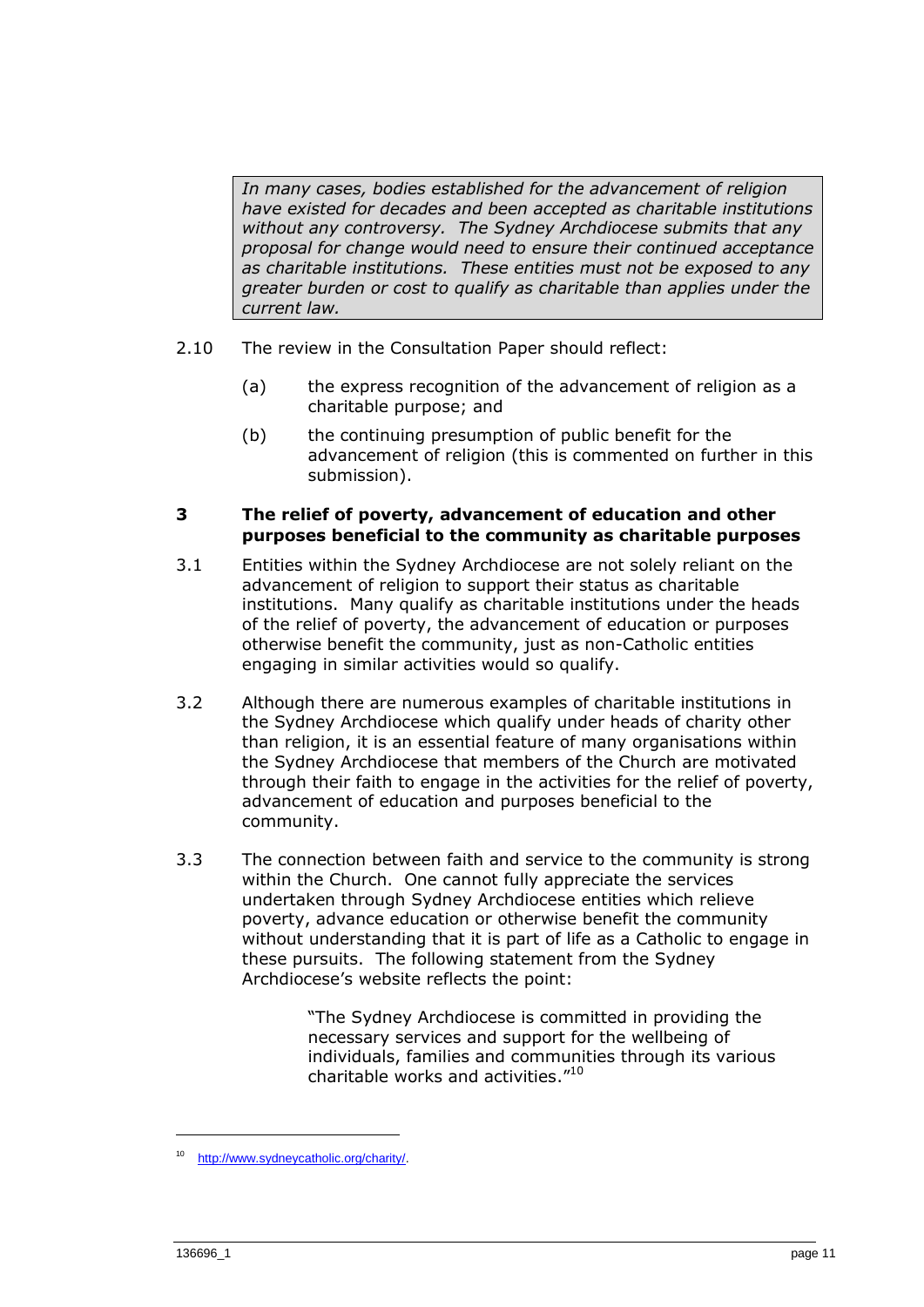*In many cases, bodies established for the advancement of religion have existed for decades and been accepted as charitable institutions without any controversy. The Sydney Archdiocese submits that any proposal for change would need to ensure their continued acceptance as charitable institutions. These entities must not be exposed to any greater burden or cost to qualify as charitable than applies under the current law.*

- 2.10 The review in the Consultation Paper should reflect:
	- (a) the express recognition of the advancement of religion as a charitable purpose; and
	- (b) the continuing presumption of public benefit for the advancement of religion (this is commented on further in this submission).

## **3 The relief of poverty, advancement of education and other purposes beneficial to the community as charitable purposes**

- 3.1 Entities within the Sydney Archdiocese are not solely reliant on the advancement of religion to support their status as charitable institutions. Many qualify as charitable institutions under the heads of the relief of poverty, the advancement of education or purposes otherwise benefit the community, just as non-Catholic entities engaging in similar activities would so qualify.
- 3.2 Although there are numerous examples of charitable institutions in the Sydney Archdiocese which qualify under heads of charity other than religion, it is an essential feature of many organisations within the Sydney Archdiocese that members of the Church are motivated through their faith to engage in the activities for the relief of poverty, advancement of education and purposes beneficial to the community.
- 3.3 The connection between faith and service to the community is strong within the Church. One cannot fully appreciate the services undertaken through Sydney Archdiocese entities which relieve poverty, advance education or otherwise benefit the community without understanding that it is part of life as a Catholic to engage in these pursuits. The following statement from the Sydney Archdiocese's website reflects the point:

"The Sydney Archdiocese is committed in providing the necessary services and support for the wellbeing of individuals, families and communities through its various charitable works and activities."<sup>10</sup>

<sup>10</sup> [http://www.sydneycatholic.org/charity/.](http://www.sydneycatholic.org/charity/)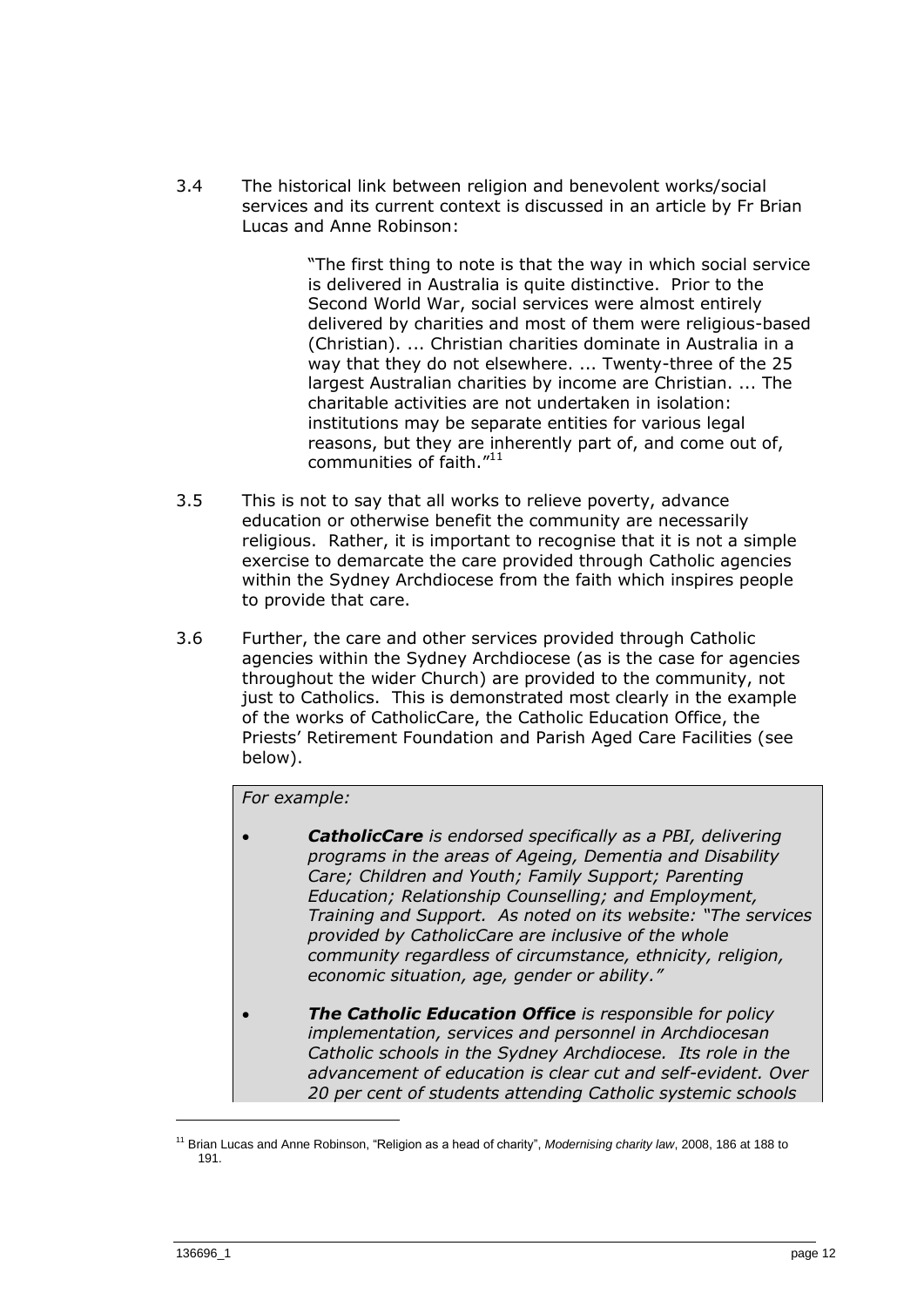3.4 The historical link between religion and benevolent works/social services and its current context is discussed in an article by Fr Brian Lucas and Anne Robinson:

> "The first thing to note is that the way in which social service is delivered in Australia is quite distinctive. Prior to the Second World War, social services were almost entirely delivered by charities and most of them were religious-based (Christian). ... Christian charities dominate in Australia in a way that they do not elsewhere. ... Twenty-three of the 25 largest Australian charities by income are Christian. ... The charitable activities are not undertaken in isolation: institutions may be separate entities for various legal reasons, but they are inherently part of, and come out of, communities of faith.<sup>"11</sup>

- 3.5 This is not to say that all works to relieve poverty, advance education or otherwise benefit the community are necessarily religious. Rather, it is important to recognise that it is not a simple exercise to demarcate the care provided through Catholic agencies within the Sydney Archdiocese from the faith which inspires people to provide that care.
- 3.6 Further, the care and other services provided through Catholic agencies within the Sydney Archdiocese (as is the case for agencies throughout the wider Church) are provided to the community, not just to Catholics. This is demonstrated most clearly in the example of the works of CatholicCare, the Catholic Education Office, the Priests' Retirement Foundation and Parish Aged Care Facilities (see below).

## *For example:*

- *CatholicCare is endorsed specifically as a PBI, delivering programs in the areas of Ageing, Dementia and Disability Care; Children and Youth; Family Support; Parenting Education; Relationship Counselling; and Employment, Training and Support. As noted on its website: "The services provided by CatholicCare are inclusive of the whole community regardless of circumstance, ethnicity, religion, economic situation, age, gender or ability."*
- *The Catholic Education Office is responsible for policy implementation, services and personnel in Archdiocesan Catholic schools in the Sydney Archdiocese. Its role in the advancement of education is clear cut and self-evident. Over 20 per cent of students attending Catholic systemic schools*

<sup>&</sup>lt;sup>11</sup> Brian Lucas and Anne Robinson, "Religion as a head of charity", Modernising charity law, 2008, 186 at 188 to 191.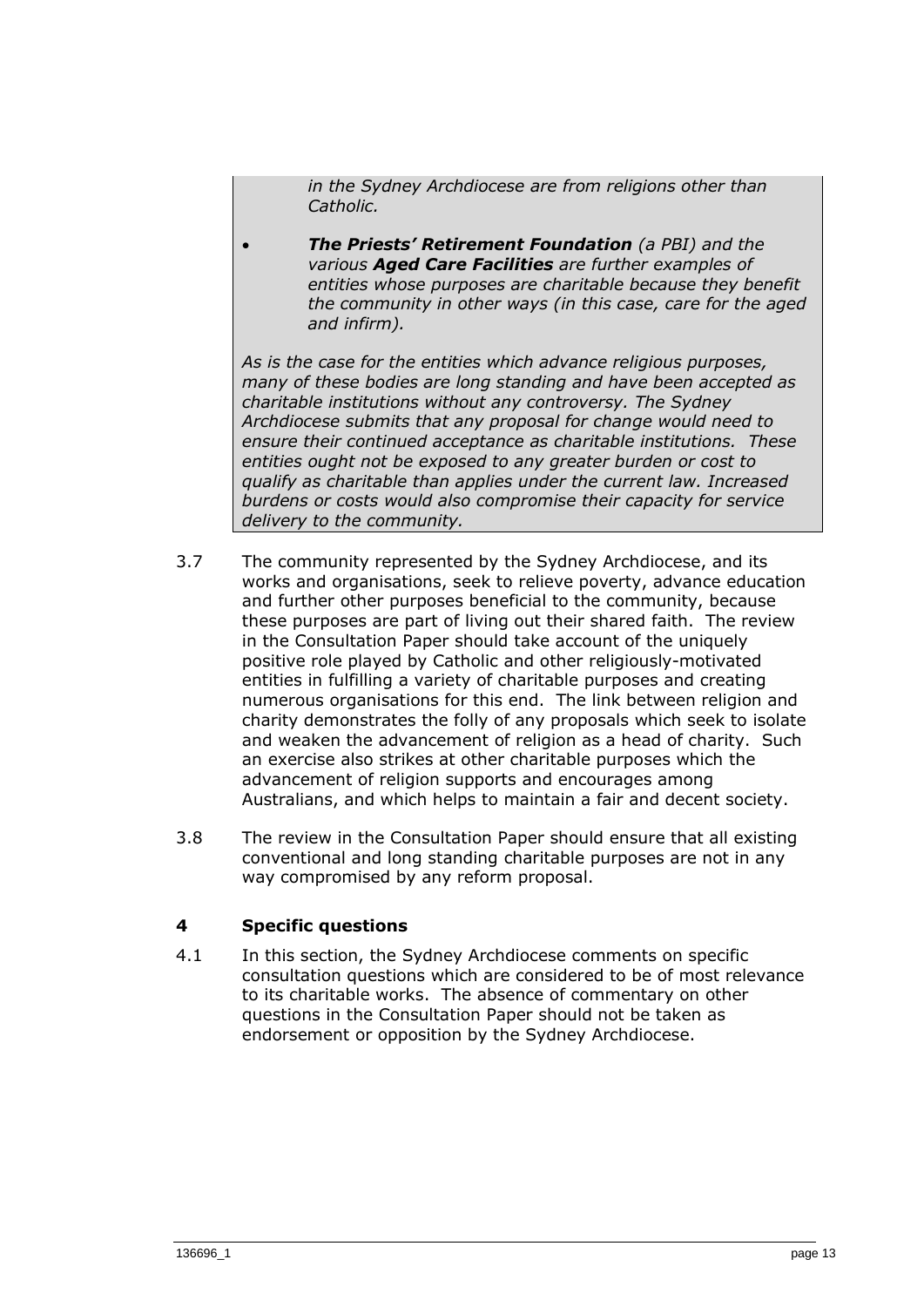*in the Sydney Archdiocese are from religions other than Catholic.*

 *The Priests' Retirement Foundation (a PBI) and the various Aged Care Facilities are further examples of entities whose purposes are charitable because they benefit the community in other ways (in this case, care for the aged and infirm).*

*As is the case for the entities which advance religious purposes, many of these bodies are long standing and have been accepted as charitable institutions without any controversy. The Sydney Archdiocese submits that any proposal for change would need to ensure their continued acceptance as charitable institutions. These entities ought not be exposed to any greater burden or cost to qualify as charitable than applies under the current law. Increased burdens or costs would also compromise their capacity for service delivery to the community.*

- 3.7 The community represented by the Sydney Archdiocese, and its works and organisations, seek to relieve poverty, advance education and further other purposes beneficial to the community, because these purposes are part of living out their shared faith. The review in the Consultation Paper should take account of the uniquely positive role played by Catholic and other religiously-motivated entities in fulfilling a variety of charitable purposes and creating numerous organisations for this end. The link between religion and charity demonstrates the folly of any proposals which seek to isolate and weaken the advancement of religion as a head of charity. Such an exercise also strikes at other charitable purposes which the advancement of religion supports and encourages among Australians, and which helps to maintain a fair and decent society.
- 3.8 The review in the Consultation Paper should ensure that all existing conventional and long standing charitable purposes are not in any way compromised by any reform proposal.

## **4 Specific questions**

4.1 In this section, the Sydney Archdiocese comments on specific consultation questions which are considered to be of most relevance to its charitable works. The absence of commentary on other questions in the Consultation Paper should not be taken as endorsement or opposition by the Sydney Archdiocese.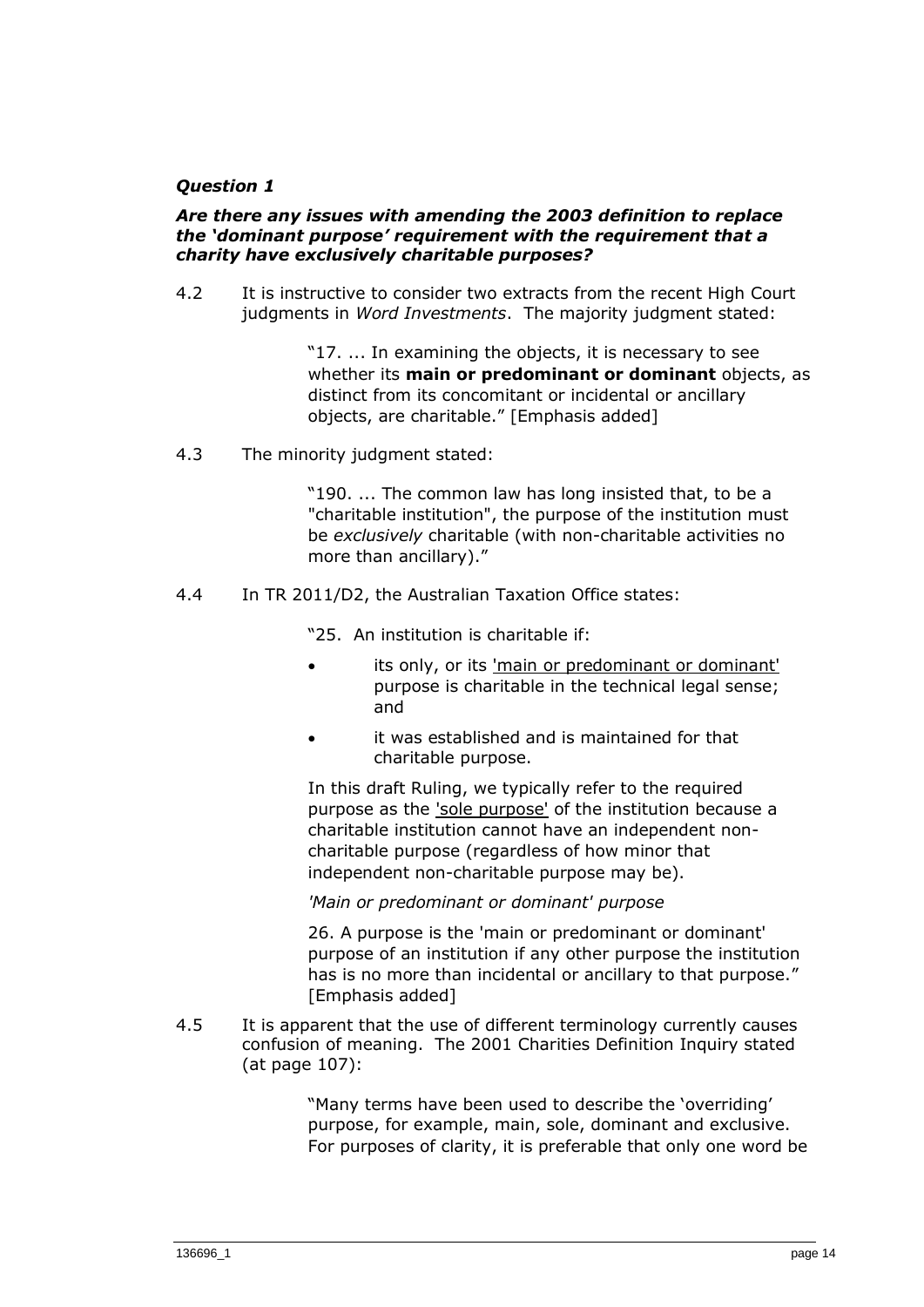## *Question 1*

#### *Are there any issues with amending the 2003 definition to replace the 'dominant purpose' requirement with the requirement that a charity have exclusively charitable purposes?*

4.2 It is instructive to consider two extracts from the recent High Court judgments in *Word Investments*. The majority judgment stated:

> "17. ... In examining the objects, it is necessary to see whether its **main or predominant or dominant** objects, as distinct from its concomitant or incidental or ancillary objects, are charitable." [Emphasis added]

4.3 The minority judgment stated:

"190. ... The common law has long insisted that, to be a "charitable institution", the purpose of the institution must be *exclusively* charitable (with non-charitable activities no more than ancillary)."

4.4 In TR 2011/D2, the Australian Taxation Office states:

"25. An institution is charitable if:

- its only, or its 'main or predominant or dominant' purpose is charitable in the technical legal sense; and
- it was established and is maintained for that charitable purpose.

In this draft Ruling, we typically refer to the required purpose as the 'sole purpose' of the institution because a charitable institution cannot have an independent noncharitable purpose (regardless of how minor that independent non-charitable purpose may be).

*'Main or predominant or dominant' purpose*

26. A purpose is the 'main or predominant or dominant' purpose of an institution if any other purpose the institution has is no more than incidental or ancillary to that purpose." [Emphasis added]

4.5 It is apparent that the use of different terminology currently causes confusion of meaning. The 2001 Charities Definition Inquiry stated (at page 107):

> "Many terms have been used to describe the 'overriding' purpose, for example, main, sole, dominant and exclusive. For purposes of clarity, it is preferable that only one word be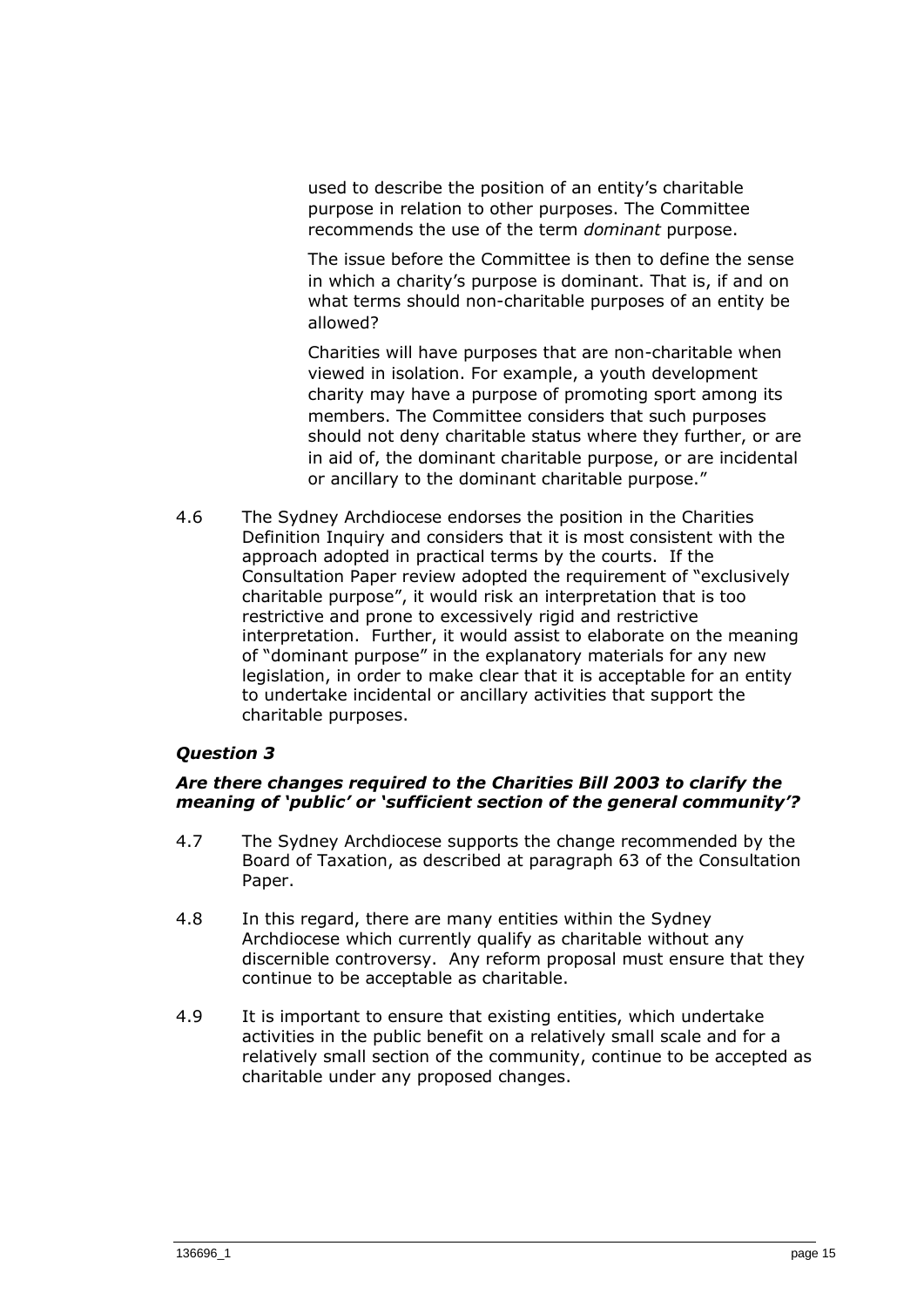used to describe the position of an entity's charitable purpose in relation to other purposes. The Committee recommends the use of the term *dominant* purpose.

The issue before the Committee is then to define the sense in which a charity's purpose is dominant. That is, if and on what terms should non-charitable purposes of an entity be allowed?

Charities will have purposes that are non-charitable when viewed in isolation. For example, a youth development charity may have a purpose of promoting sport among its members. The Committee considers that such purposes should not deny charitable status where they further, or are in aid of, the dominant charitable purpose, or are incidental or ancillary to the dominant charitable purpose."

4.6 The Sydney Archdiocese endorses the position in the Charities Definition Inquiry and considers that it is most consistent with the approach adopted in practical terms by the courts. If the Consultation Paper review adopted the requirement of "exclusively charitable purpose", it would risk an interpretation that is too restrictive and prone to excessively rigid and restrictive interpretation. Further, it would assist to elaborate on the meaning of "dominant purpose" in the explanatory materials for any new legislation, in order to make clear that it is acceptable for an entity to undertake incidental or ancillary activities that support the charitable purposes.

#### *Question 3*

#### *Are there changes required to the Charities Bill 2003 to clarify the meaning of 'public' or 'sufficient section of the general community'?*

- 4.7 The Sydney Archdiocese supports the change recommended by the Board of Taxation, as described at paragraph 63 of the Consultation Paper.
- 4.8 In this regard, there are many entities within the Sydney Archdiocese which currently qualify as charitable without any discernible controversy. Any reform proposal must ensure that they continue to be acceptable as charitable.
- 4.9 It is important to ensure that existing entities, which undertake activities in the public benefit on a relatively small scale and for a relatively small section of the community, continue to be accepted as charitable under any proposed changes.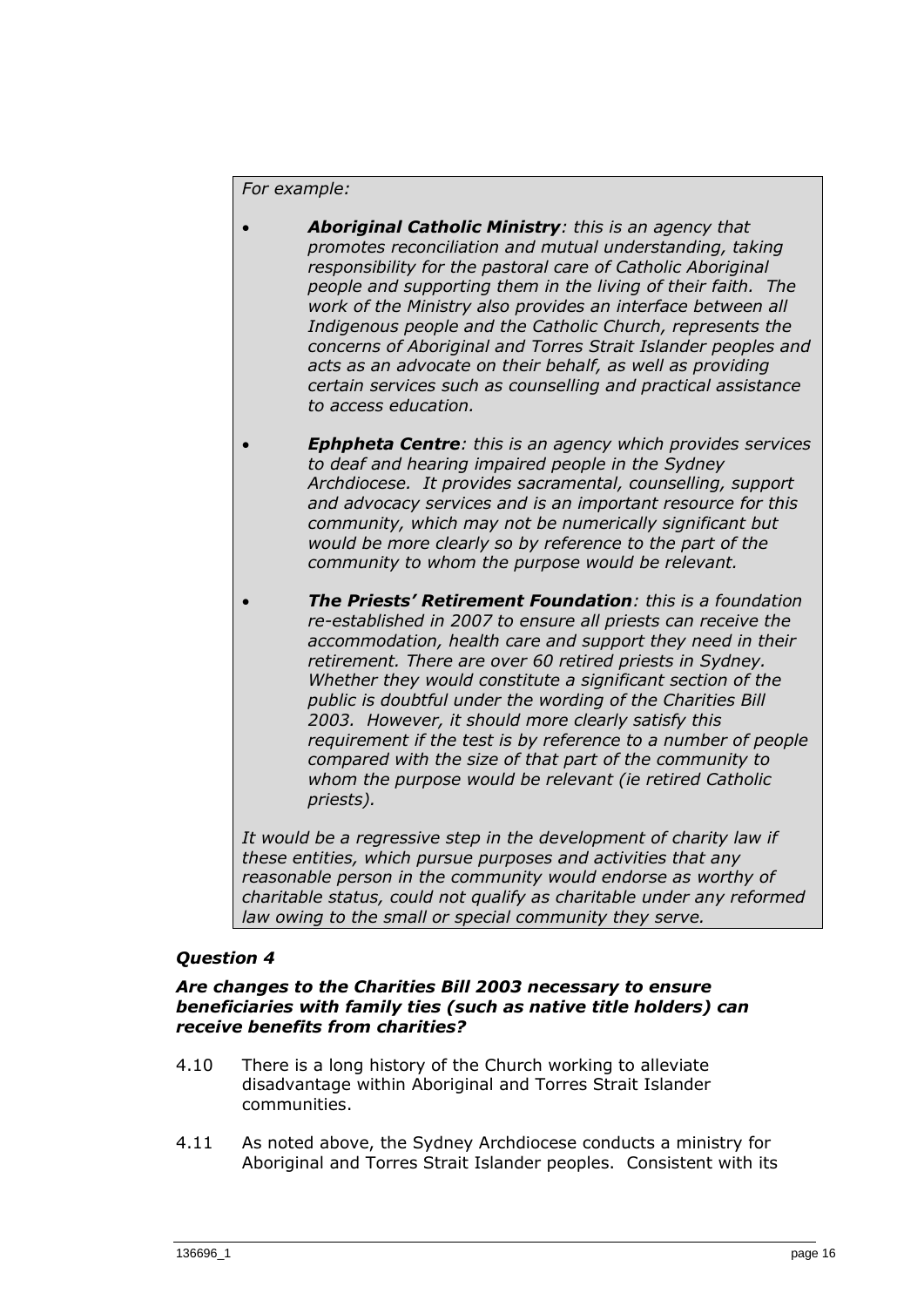#### *For example:*

- *Aboriginal Catholic Ministry: this is an agency that promotes reconciliation and mutual understanding, taking responsibility for the pastoral care of Catholic Aboriginal people and supporting them in the living of their faith. The work of the Ministry also provides an interface between all Indigenous people and the Catholic Church, represents the concerns of Aboriginal and Torres Strait Islander peoples and acts as an advocate on their behalf, as well as providing certain services such as counselling and practical assistance to access education.*
- *Ephpheta Centre: this is an agency which provides services to deaf and hearing impaired people in the Sydney Archdiocese. It provides sacramental, counselling, support and advocacy services and is an important resource for this community, which may not be numerically significant but would be more clearly so by reference to the part of the community to whom the purpose would be relevant.*
- *The Priests' Retirement Foundation: this is a foundation re-established in 2007 to ensure all priests can receive the accommodation, health care and support they need in their retirement. There are over 60 retired priests in Sydney. Whether they would constitute a significant section of the public is doubtful under the wording of the Charities Bill 2003. However, it should more clearly satisfy this requirement if the test is by reference to a number of people compared with the size of that part of the community to whom the purpose would be relevant (ie retired Catholic priests).*

*It would be a regressive step in the development of charity law if these entities, which pursue purposes and activities that any reasonable person in the community would endorse as worthy of charitable status, could not qualify as charitable under any reformed law owing to the small or special community they serve.*

#### *Question 4*

#### *Are changes to the Charities Bill 2003 necessary to ensure beneficiaries with family ties (such as native title holders) can receive benefits from charities?*

- 4.10 There is a long history of the Church working to alleviate disadvantage within Aboriginal and Torres Strait Islander communities.
- 4.11 As noted above, the Sydney Archdiocese conducts a ministry for Aboriginal and Torres Strait Islander peoples. Consistent with its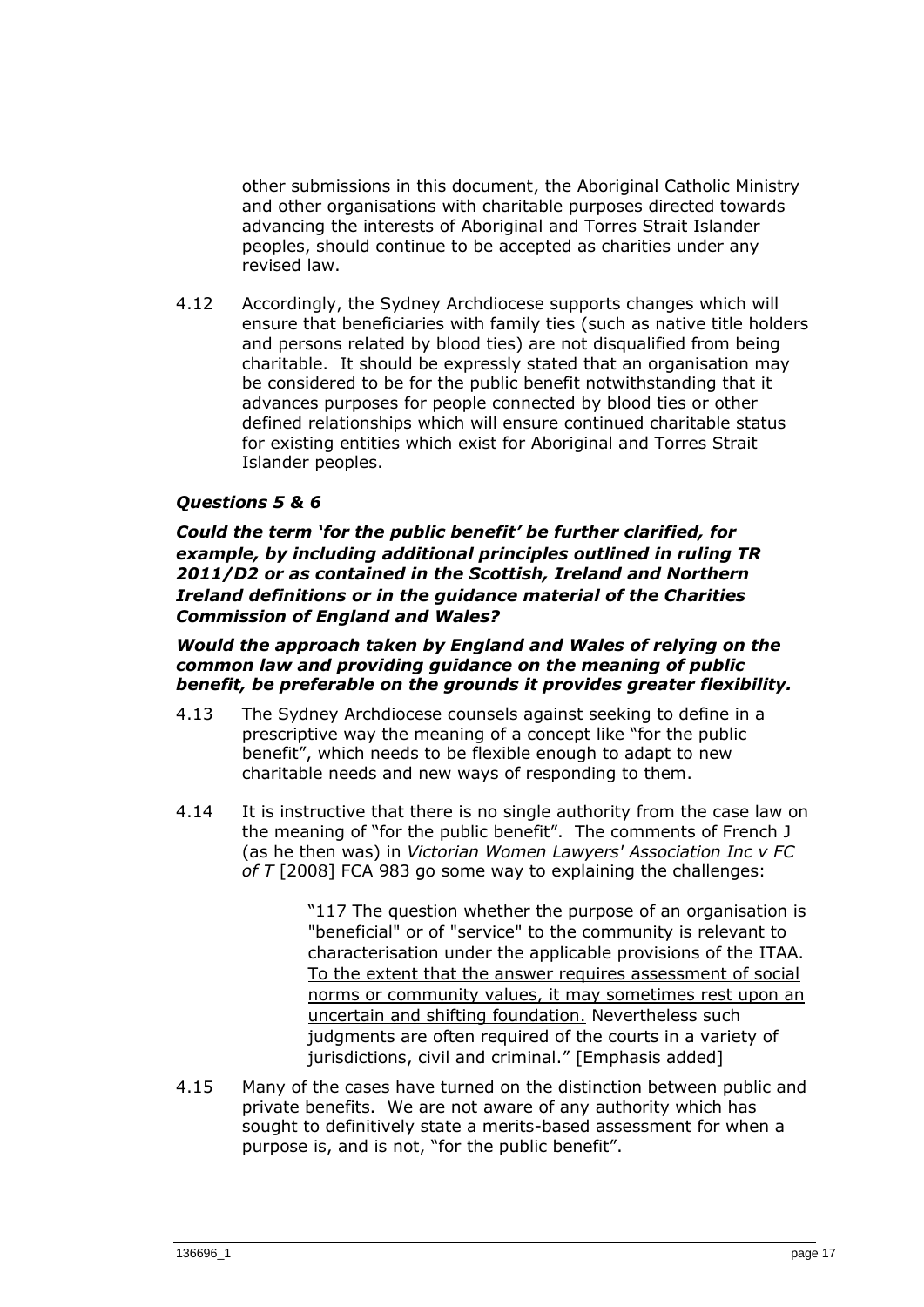other submissions in this document, the Aboriginal Catholic Ministry and other organisations with charitable purposes directed towards advancing the interests of Aboriginal and Torres Strait Islander peoples, should continue to be accepted as charities under any revised law.

4.12 Accordingly, the Sydney Archdiocese supports changes which will ensure that beneficiaries with family ties (such as native title holders and persons related by blood ties) are not disqualified from being charitable. It should be expressly stated that an organisation may be considered to be for the public benefit notwithstanding that it advances purposes for people connected by blood ties or other defined relationships which will ensure continued charitable status for existing entities which exist for Aboriginal and Torres Strait Islander peoples.

## *Questions 5 & 6*

*Could the term 'for the public benefit' be further clarified, for example, by including additional principles outlined in ruling TR 2011/D2 or as contained in the Scottish, Ireland and Northern Ireland definitions or in the guidance material of the Charities Commission of England and Wales?*

#### *Would the approach taken by England and Wales of relying on the common law and providing guidance on the meaning of public benefit, be preferable on the grounds it provides greater flexibility.*

- 4.13 The Sydney Archdiocese counsels against seeking to define in a prescriptive way the meaning of a concept like "for the public benefit", which needs to be flexible enough to adapt to new charitable needs and new ways of responding to them.
- 4.14 It is instructive that there is no single authority from the case law on the meaning of "for the public benefit". The comments of French J (as he then was) in *Victorian Women Lawyers' Association Inc v FC of T* [2008] FCA 983 go some way to explaining the challenges:

"117 The question whether the purpose of an organisation is "beneficial" or of "service" to the community is relevant to characterisation under the applicable provisions of the ITAA. To the extent that the answer requires assessment of social norms or community values, it may sometimes rest upon an uncertain and shifting foundation. Nevertheless such judgments are often required of the courts in a variety of jurisdictions, civil and criminal." [Emphasis added]

4.15 Many of the cases have turned on the distinction between public and private benefits. We are not aware of any authority which has sought to definitively state a merits-based assessment for when a purpose is, and is not, "for the public benefit".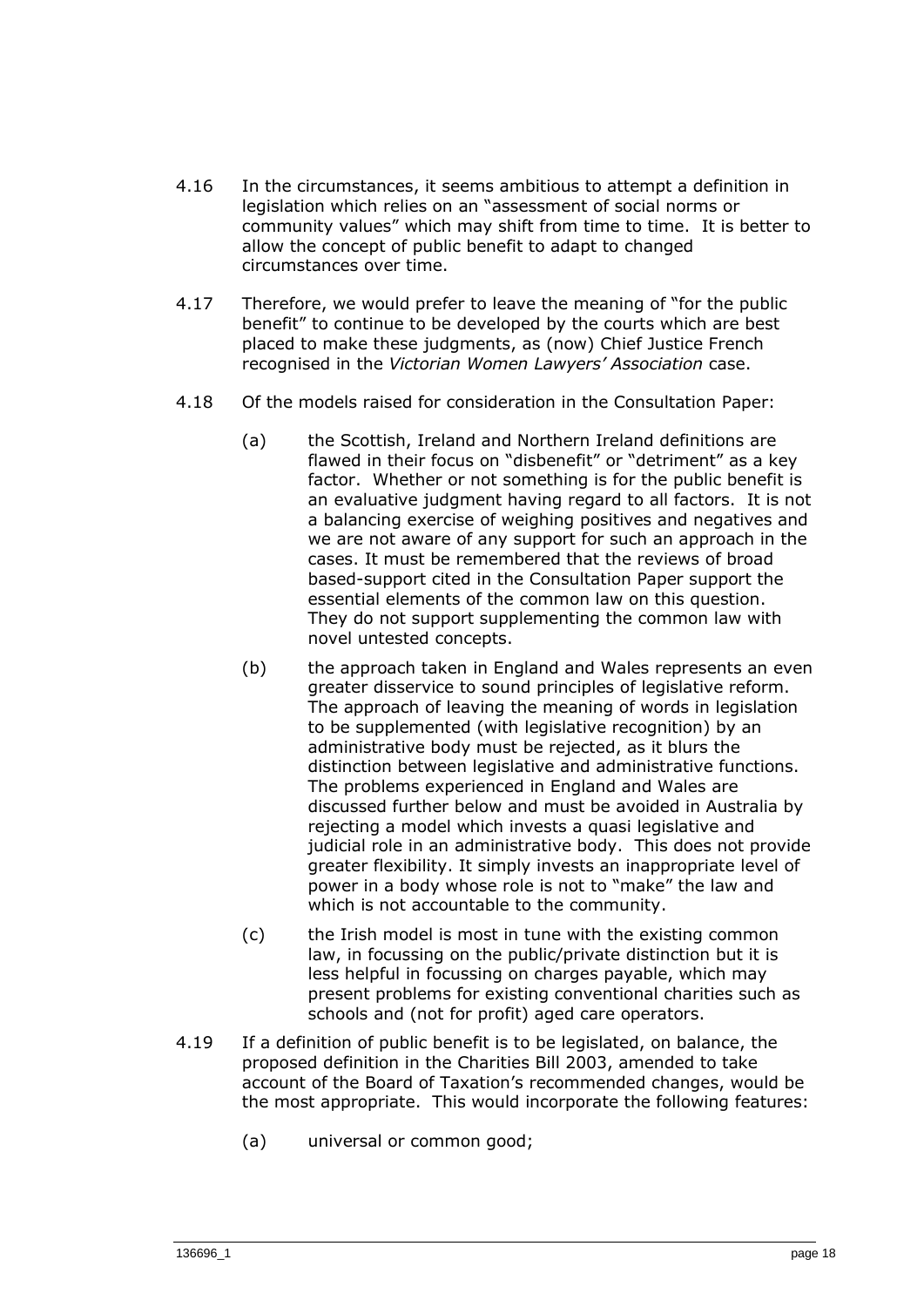- 4.16 In the circumstances, it seems ambitious to attempt a definition in legislation which relies on an "assessment of social norms or community values" which may shift from time to time. It is better to allow the concept of public benefit to adapt to changed circumstances over time.
- 4.17 Therefore, we would prefer to leave the meaning of "for the public benefit" to continue to be developed by the courts which are best placed to make these judgments, as (now) Chief Justice French recognised in the *Victorian Women Lawyers' Association* case.
- 4.18 Of the models raised for consideration in the Consultation Paper:
	- (a) the Scottish, Ireland and Northern Ireland definitions are flawed in their focus on "disbenefit" or "detriment" as a key factor. Whether or not something is for the public benefit is an evaluative judgment having regard to all factors. It is not a balancing exercise of weighing positives and negatives and we are not aware of any support for such an approach in the cases. It must be remembered that the reviews of broad based-support cited in the Consultation Paper support the essential elements of the common law on this question. They do not support supplementing the common law with novel untested concepts.
	- (b) the approach taken in England and Wales represents an even greater disservice to sound principles of legislative reform. The approach of leaving the meaning of words in legislation to be supplemented (with legislative recognition) by an administrative body must be rejected, as it blurs the distinction between legislative and administrative functions. The problems experienced in England and Wales are discussed further below and must be avoided in Australia by rejecting a model which invests a quasi legislative and judicial role in an administrative body. This does not provide greater flexibility. It simply invests an inappropriate level of power in a body whose role is not to "make" the law and which is not accountable to the community.
	- (c) the Irish model is most in tune with the existing common law, in focussing on the public/private distinction but it is less helpful in focussing on charges payable, which may present problems for existing conventional charities such as schools and (not for profit) aged care operators.
- 4.19 If a definition of public benefit is to be legislated, on balance, the proposed definition in the Charities Bill 2003, amended to take account of the Board of Taxation's recommended changes, would be the most appropriate. This would incorporate the following features:
	- (a) universal or common good;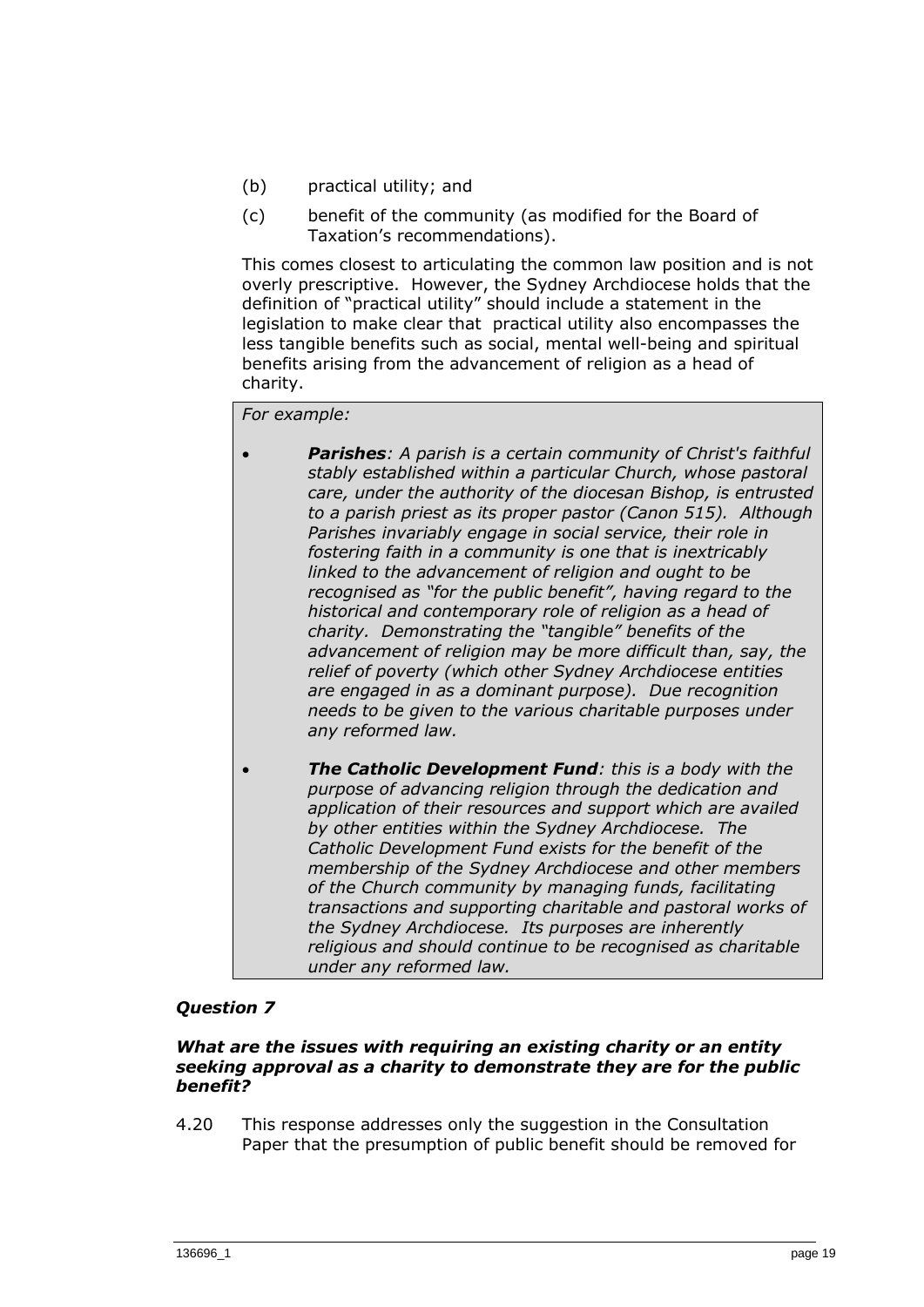- (b) practical utility; and
- (c) benefit of the community (as modified for the Board of Taxation's recommendations).

This comes closest to articulating the common law position and is not overly prescriptive. However, the Sydney Archdiocese holds that the definition of "practical utility" should include a statement in the legislation to make clear that practical utility also encompasses the less tangible benefits such as social, mental well-being and spiritual benefits arising from the advancement of religion as a head of charity.

## *For example:*

- *Parishes: A parish is a certain community of Christ's faithful stably established within a particular Church, whose pastoral care, under the authority of the diocesan Bishop, is entrusted to a parish priest as its proper pastor (Canon 515). Although Parishes invariably engage in social service, their role in fostering faith in a community is one that is inextricably linked to the advancement of religion and ought to be recognised as "for the public benefit", having regard to the historical and contemporary role of religion as a head of charity. Demonstrating the "tangible" benefits of the advancement of religion may be more difficult than, say, the relief of poverty (which other Sydney Archdiocese entities are engaged in as a dominant purpose). Due recognition needs to be given to the various charitable purposes under any reformed law.*
- *The Catholic Development Fund: this is a body with the purpose of advancing religion through the dedication and application of their resources and support which are availed by other entities within the Sydney Archdiocese. The Catholic Development Fund exists for the benefit of the membership of the Sydney Archdiocese and other members of the Church community by managing funds, facilitating transactions and supporting charitable and pastoral works of the Sydney Archdiocese. Its purposes are inherently religious and should continue to be recognised as charitable under any reformed law.*

## *Question 7*

#### *What are the issues with requiring an existing charity or an entity seeking approval as a charity to demonstrate they are for the public benefit?*

4.20 This response addresses only the suggestion in the Consultation Paper that the presumption of public benefit should be removed for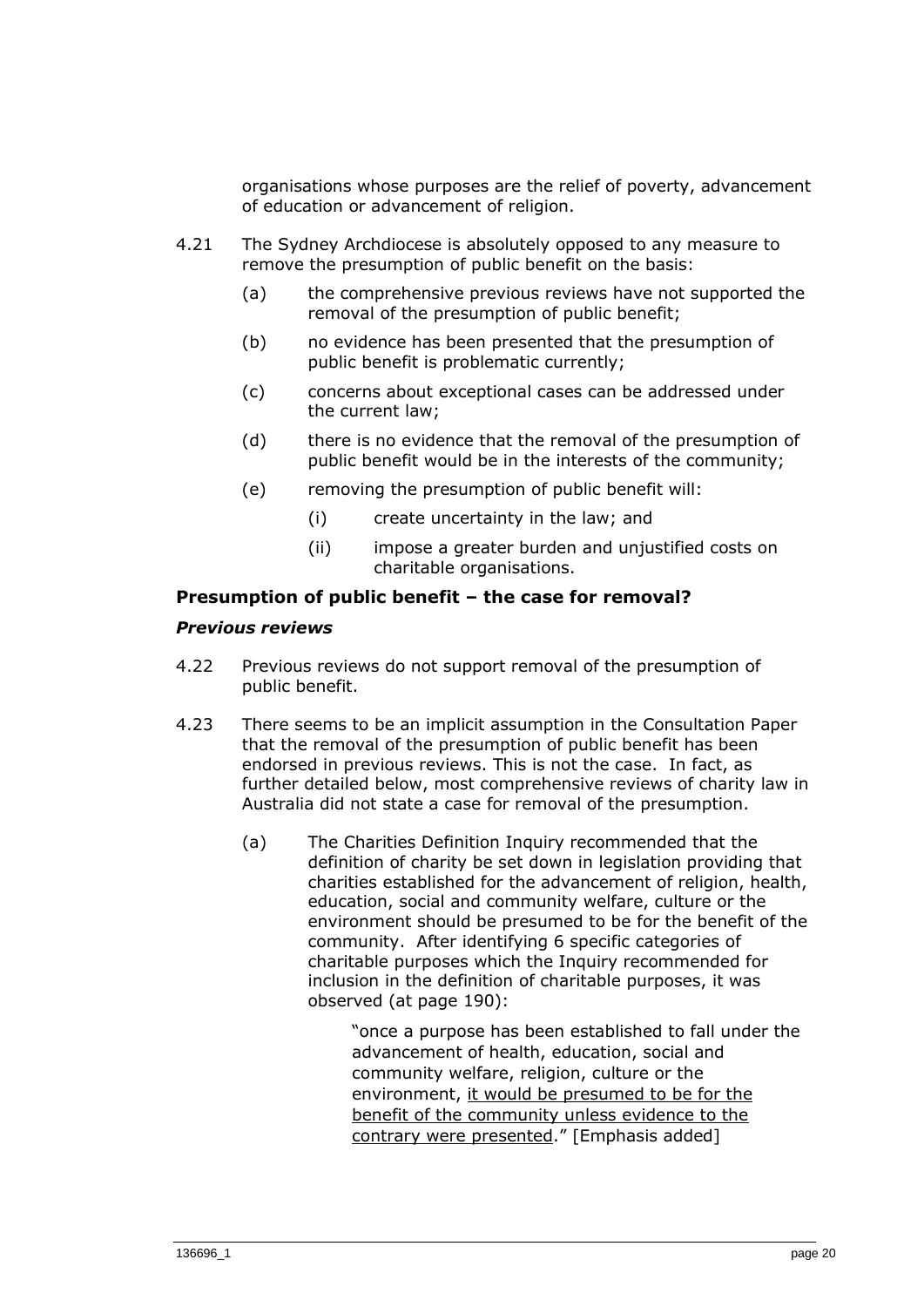organisations whose purposes are the relief of poverty, advancement of education or advancement of religion.

- 4.21 The Sydney Archdiocese is absolutely opposed to any measure to remove the presumption of public benefit on the basis:
	- (a) the comprehensive previous reviews have not supported the removal of the presumption of public benefit;
	- (b) no evidence has been presented that the presumption of public benefit is problematic currently;
	- (c) concerns about exceptional cases can be addressed under the current law;
	- (d) there is no evidence that the removal of the presumption of public benefit would be in the interests of the community;
	- (e) removing the presumption of public benefit will:
		- (i) create uncertainty in the law; and
		- (ii) impose a greater burden and unjustified costs on charitable organisations.

#### **Presumption of public benefit – the case for removal?**

#### *Previous reviews*

- 4.22 Previous reviews do not support removal of the presumption of public benefit.
- 4.23 There seems to be an implicit assumption in the Consultation Paper that the removal of the presumption of public benefit has been endorsed in previous reviews. This is not the case. In fact, as further detailed below, most comprehensive reviews of charity law in Australia did not state a case for removal of the presumption.
	- (a) The Charities Definition Inquiry recommended that the definition of charity be set down in legislation providing that charities established for the advancement of religion, health, education, social and community welfare, culture or the environment should be presumed to be for the benefit of the community. After identifying 6 specific categories of charitable purposes which the Inquiry recommended for inclusion in the definition of charitable purposes, it was observed (at page 190):

"once a purpose has been established to fall under the advancement of health, education, social and community welfare, religion, culture or the environment, it would be presumed to be for the benefit of the community unless evidence to the contrary were presented." [Emphasis added]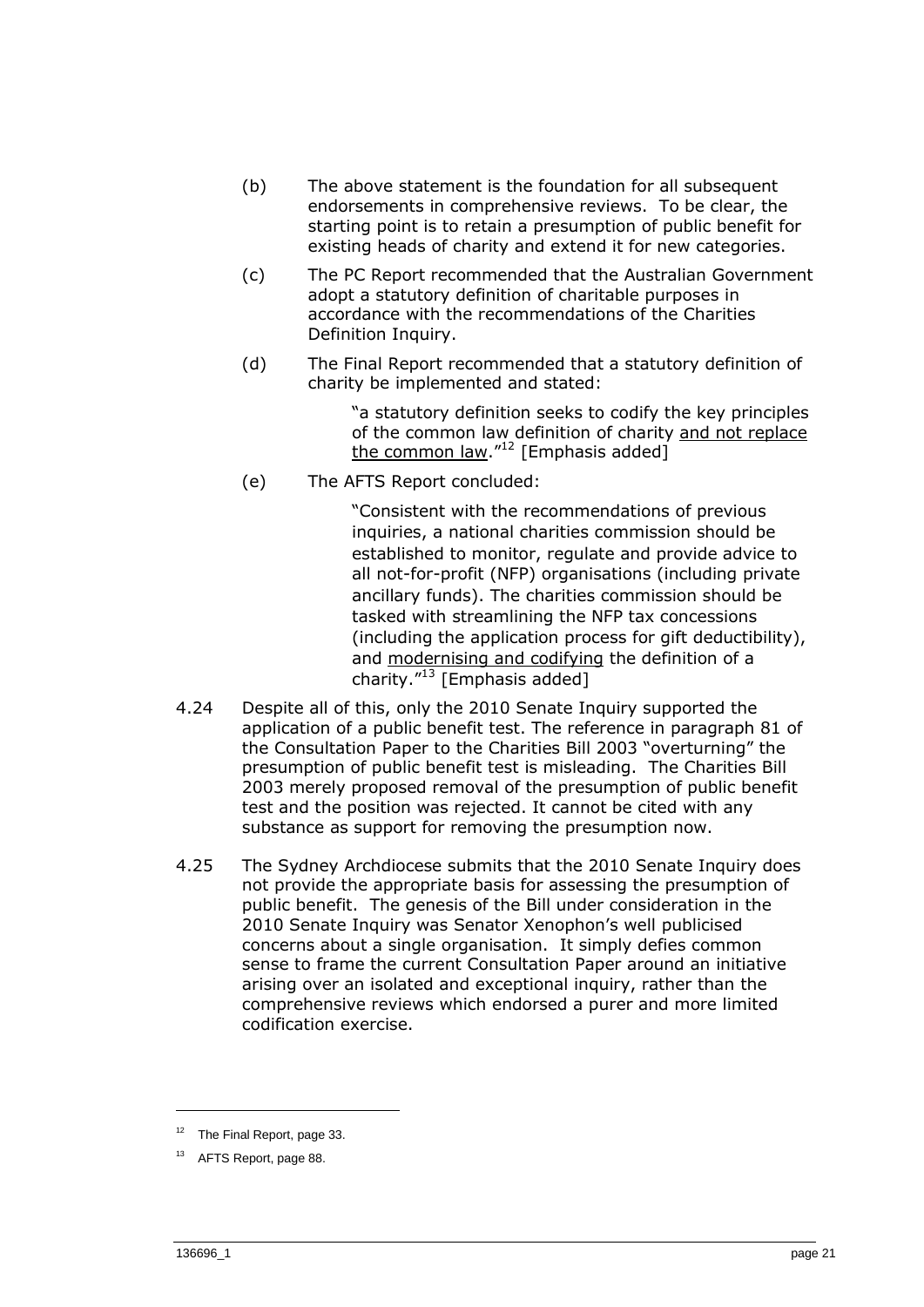- (b) The above statement is the foundation for all subsequent endorsements in comprehensive reviews. To be clear, the starting point is to retain a presumption of public benefit for existing heads of charity and extend it for new categories.
- (c) The PC Report recommended that the Australian Government adopt a statutory definition of charitable purposes in accordance with the recommendations of the Charities Definition Inquiry.
- (d) The Final Report recommended that a statutory definition of charity be implemented and stated:

"a statutory definition seeks to codify the key principles of the common law definition of charity and not replace the common law." $12$  [Emphasis added]

(e) The AFTS Report concluded:

"Consistent with the recommendations of previous inquiries, a national charities commission should be established to monitor, regulate and provide advice to all not-for-profit (NFP) organisations (including private ancillary funds). The charities commission should be tasked with streamlining the NFP tax concessions (including the application process for gift deductibility), and modernising and codifying the definition of a charity."<sup>13</sup> [Emphasis added]

- 4.24 Despite all of this, only the 2010 Senate Inquiry supported the application of a public benefit test. The reference in paragraph 81 of the Consultation Paper to the Charities Bill 2003 "overturning" the presumption of public benefit test is misleading. The Charities Bill 2003 merely proposed removal of the presumption of public benefit test and the position was rejected. It cannot be cited with any substance as support for removing the presumption now.
- 4.25 The Sydney Archdiocese submits that the 2010 Senate Inquiry does not provide the appropriate basis for assessing the presumption of public benefit. The genesis of the Bill under consideration in the 2010 Senate Inquiry was Senator Xenophon's well publicised concerns about a single organisation. It simply defies common sense to frame the current Consultation Paper around an initiative arising over an isolated and exceptional inquiry, rather than the comprehensive reviews which endorsed a purer and more limited codification exercise.

 $12$  The Final Report, page 33.

<sup>&</sup>lt;sup>13</sup> AFTS Report, page 88.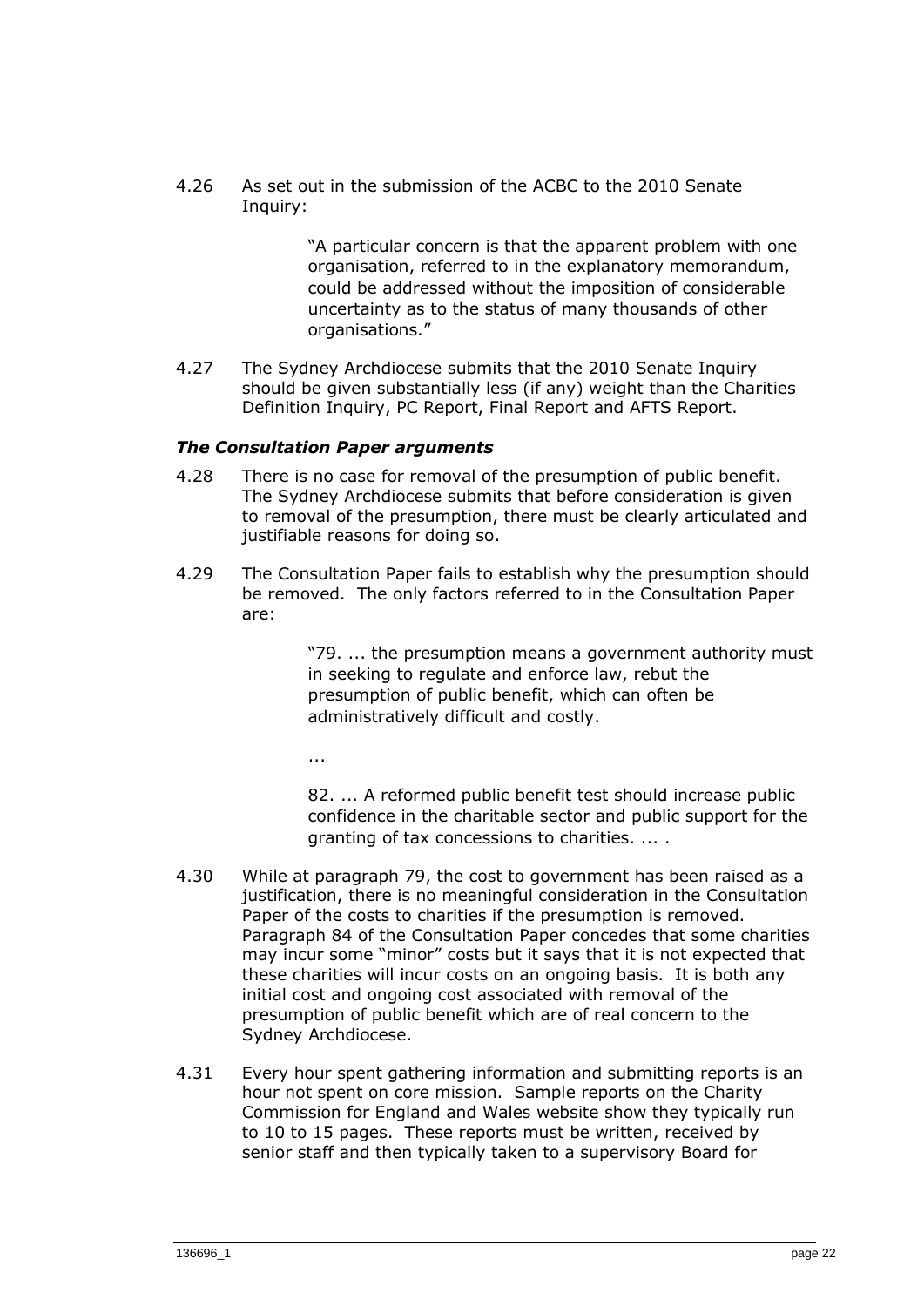4.26 As set out in the submission of the ACBC to the 2010 Senate Inquiry:

> "A particular concern is that the apparent problem with one organisation, referred to in the explanatory memorandum, could be addressed without the imposition of considerable uncertainty as to the status of many thousands of other organisations."

4.27 The Sydney Archdiocese submits that the 2010 Senate Inquiry should be given substantially less (if any) weight than the Charities Definition Inquiry, PC Report, Final Report and AFTS Report.

#### *The Consultation Paper arguments*

- 4.28 There is no case for removal of the presumption of public benefit. The Sydney Archdiocese submits that before consideration is given to removal of the presumption, there must be clearly articulated and justifiable reasons for doing so.
- 4.29 The Consultation Paper fails to establish why the presumption should be removed. The only factors referred to in the Consultation Paper are:

"79. ... the presumption means a government authority must in seeking to regulate and enforce law, rebut the presumption of public benefit, which can often be administratively difficult and costly.

...

82. ... A reformed public benefit test should increase public confidence in the charitable sector and public support for the granting of tax concessions to charities. ... .

- 4.30 While at paragraph 79, the cost to government has been raised as a justification, there is no meaningful consideration in the Consultation Paper of the costs to charities if the presumption is removed. Paragraph 84 of the Consultation Paper concedes that some charities may incur some "minor" costs but it says that it is not expected that these charities will incur costs on an ongoing basis. It is both any initial cost and ongoing cost associated with removal of the presumption of public benefit which are of real concern to the Sydney Archdiocese.
- 4.31 Every hour spent gathering information and submitting reports is an hour not spent on core mission. Sample reports on the Charity Commission for England and Wales website show they typically run to 10 to 15 pages. These reports must be written, received by senior staff and then typically taken to a supervisory Board for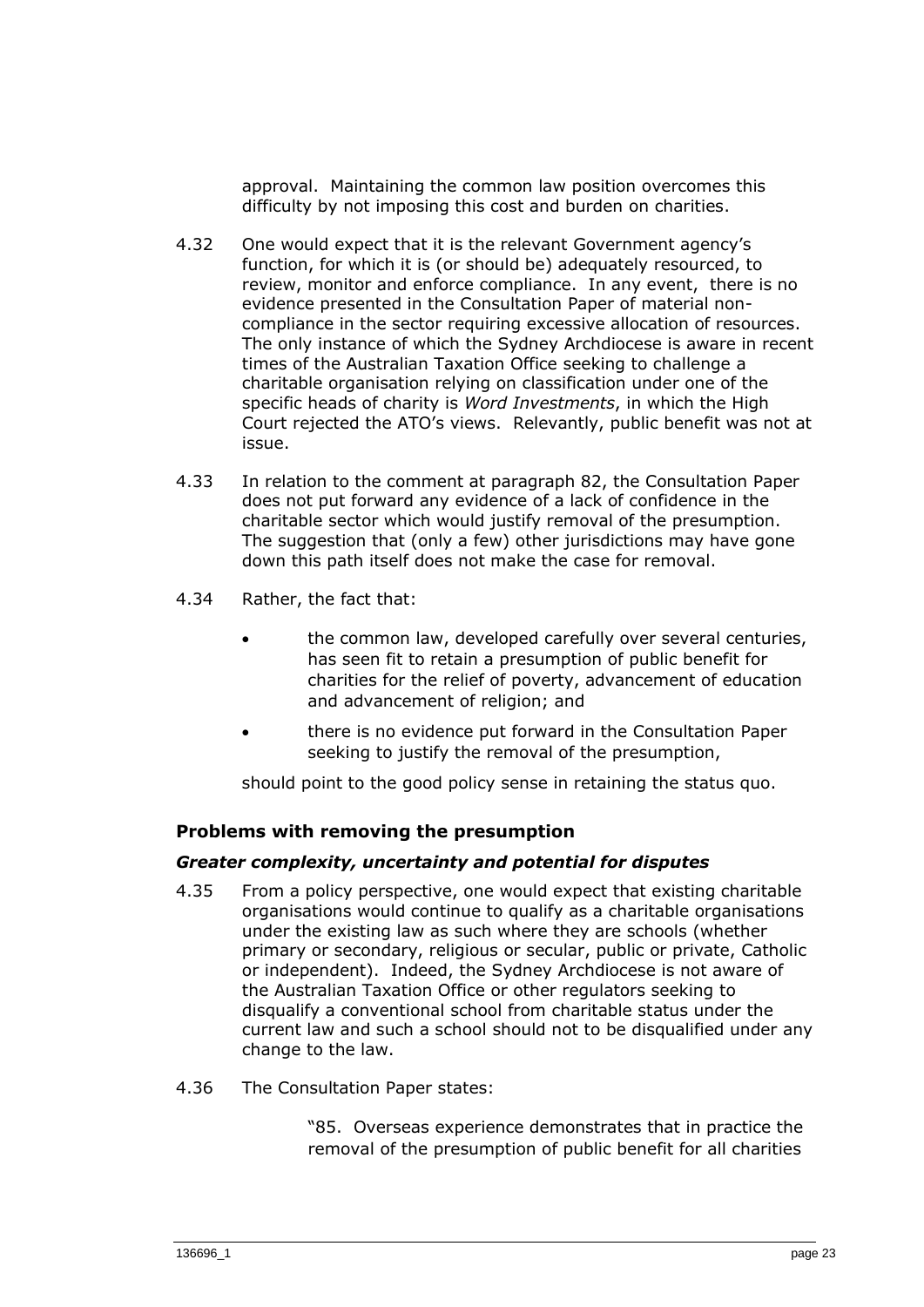approval. Maintaining the common law position overcomes this difficulty by not imposing this cost and burden on charities.

- 4.32 One would expect that it is the relevant Government agency's function, for which it is (or should be) adequately resourced, to review, monitor and enforce compliance. In any event, there is no evidence presented in the Consultation Paper of material noncompliance in the sector requiring excessive allocation of resources. The only instance of which the Sydney Archdiocese is aware in recent times of the Australian Taxation Office seeking to challenge a charitable organisation relying on classification under one of the specific heads of charity is *Word Investments*, in which the High Court rejected the ATO's views. Relevantly, public benefit was not at issue.
- 4.33 In relation to the comment at paragraph 82, the Consultation Paper does not put forward any evidence of a lack of confidence in the charitable sector which would justify removal of the presumption. The suggestion that (only a few) other jurisdictions may have gone down this path itself does not make the case for removal.
- 4.34 Rather, the fact that:
	- the common law, developed carefully over several centuries, has seen fit to retain a presumption of public benefit for charities for the relief of poverty, advancement of education and advancement of religion; and
	- there is no evidence put forward in the Consultation Paper seeking to justify the removal of the presumption,

should point to the good policy sense in retaining the status quo.

#### **Problems with removing the presumption**

#### *Greater complexity, uncertainty and potential for disputes*

- 4.35 From a policy perspective, one would expect that existing charitable organisations would continue to qualify as a charitable organisations under the existing law as such where they are schools (whether primary or secondary, religious or secular, public or private, Catholic or independent). Indeed, the Sydney Archdiocese is not aware of the Australian Taxation Office or other regulators seeking to disqualify a conventional school from charitable status under the current law and such a school should not to be disqualified under any change to the law.
- 4.36 The Consultation Paper states:

"85. Overseas experience demonstrates that in practice the removal of the presumption of public benefit for all charities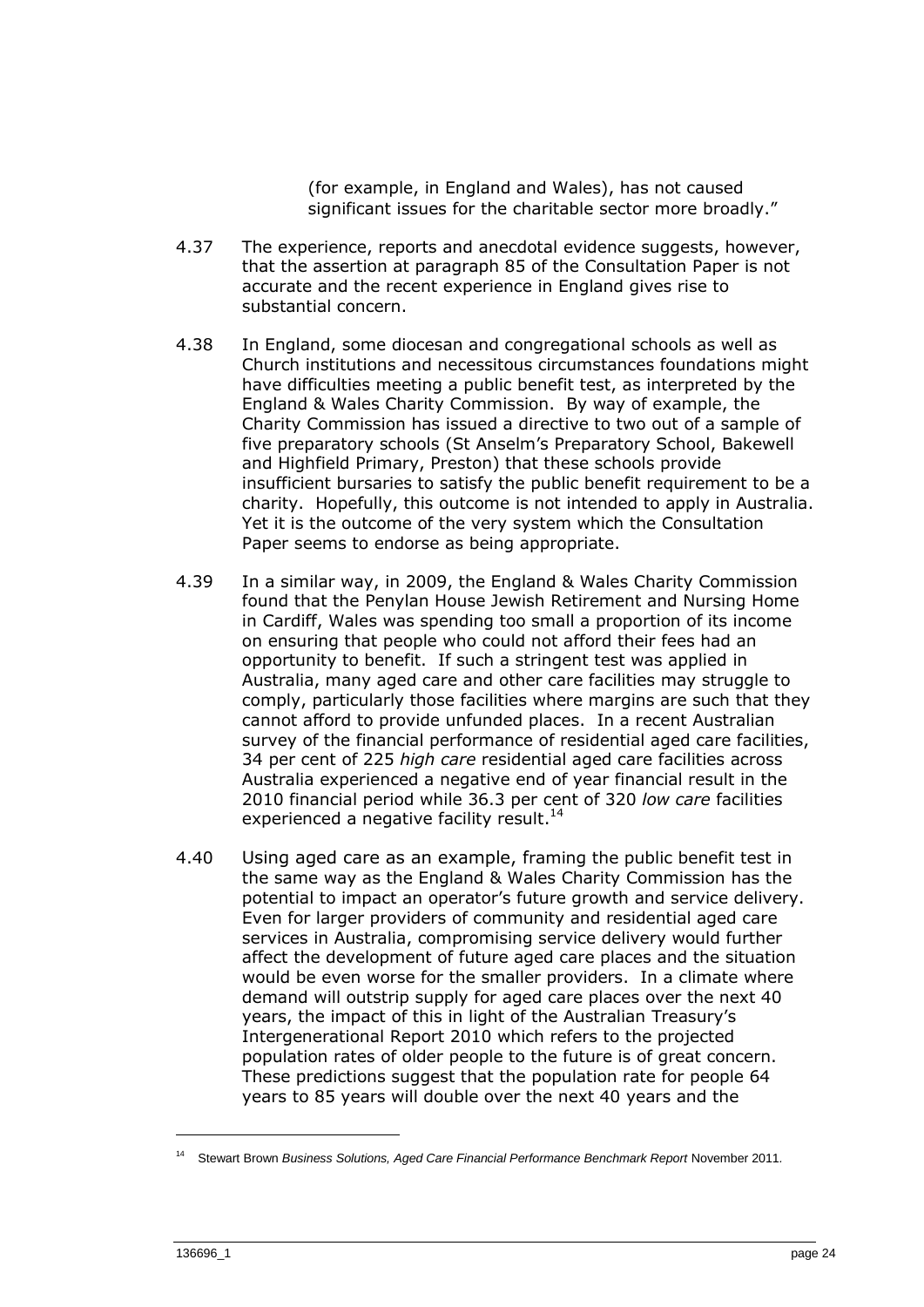(for example, in England and Wales), has not caused significant issues for the charitable sector more broadly."

- 4.37 The experience, reports and anecdotal evidence suggests, however, that the assertion at paragraph 85 of the Consultation Paper is not accurate and the recent experience in England gives rise to substantial concern.
- 4.38 In England, some diocesan and congregational schools as well as Church institutions and necessitous circumstances foundations might have difficulties meeting a public benefit test, as interpreted by the England & Wales Charity Commission. By way of example, the Charity Commission has issued a directive to two out of a sample of five preparatory schools (St Anselm's Preparatory School, Bakewell and Highfield Primary, Preston) that these schools provide insufficient bursaries to satisfy the public benefit requirement to be a charity. Hopefully, this outcome is not intended to apply in Australia. Yet it is the outcome of the very system which the Consultation Paper seems to endorse as being appropriate.
- 4.39 In a similar way, in 2009, the England & Wales Charity Commission found that the Penylan House Jewish Retirement and Nursing Home in Cardiff, Wales was spending too small a proportion of its income on ensuring that people who could not afford their fees had an opportunity to benefit. If such a stringent test was applied in Australia, many aged care and other care facilities may struggle to comply, particularly those facilities where margins are such that they cannot afford to provide unfunded places. In a recent Australian survey of the financial performance of residential aged care facilities, 34 per cent of 225 *high care* residential aged care facilities across Australia experienced a negative end of year financial result in the 2010 financial period while 36.3 per cent of 320 *low care* facilities experienced a negative facility result.<sup>14</sup>
- 4.40 Using aged care as an example, framing the public benefit test in the same way as the England & Wales Charity Commission has the potential to impact an operator's future growth and service delivery. Even for larger providers of community and residential aged care services in Australia, compromising service delivery would further affect the development of future aged care places and the situation would be even worse for the smaller providers. In a climate where demand will outstrip supply for aged care places over the next 40 years, the impact of this in light of the Australian Treasury's Intergenerational Report 2010 which refers to the projected population rates of older people to the future is of great concern. These predictions suggest that the population rate for people 64 years to 85 years will double over the next 40 years and the

<sup>&</sup>lt;sup>14</sup> Stewart Brown *Business Solutions, Aged Care Financial Performance Benchmark Report November 2011.*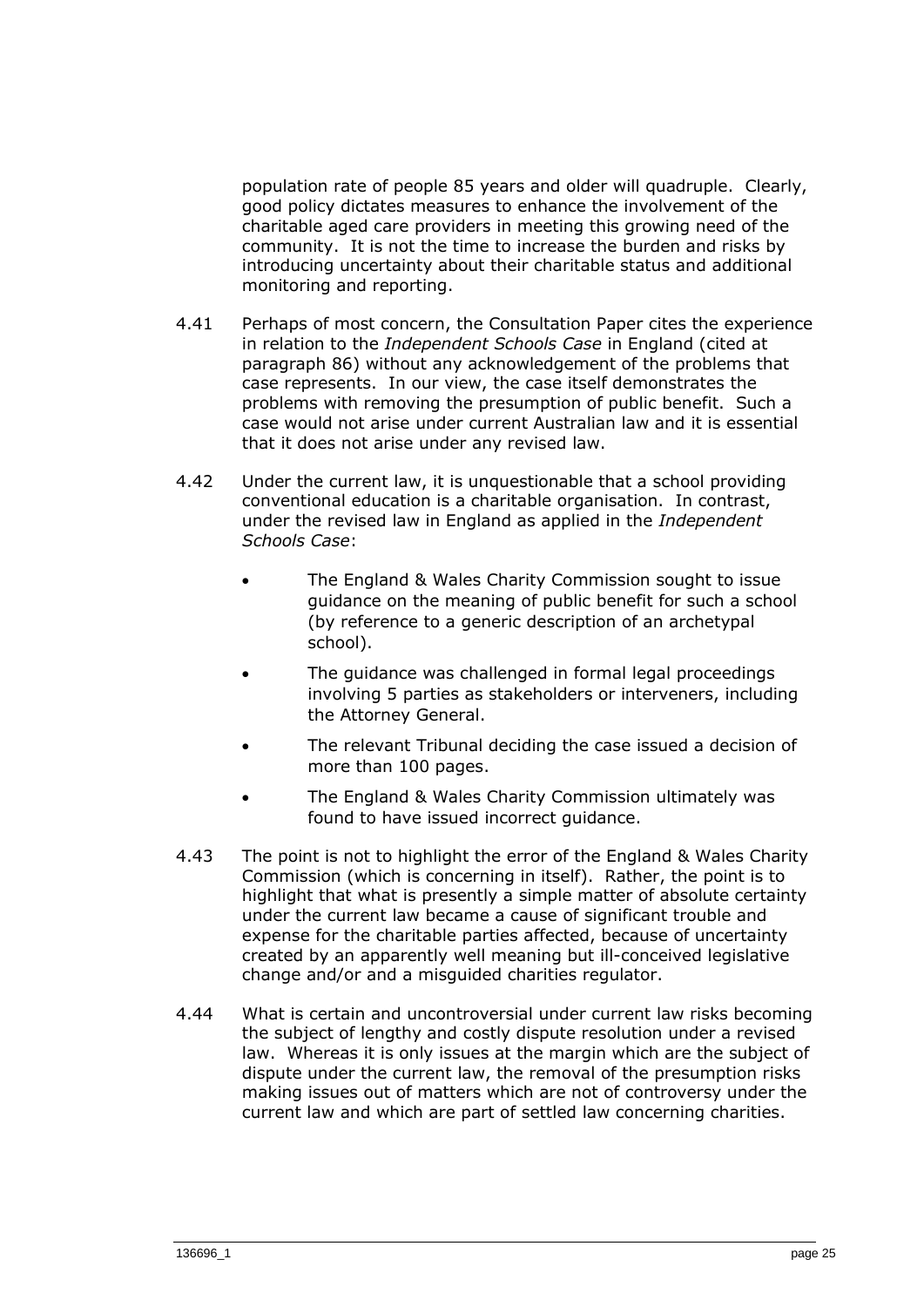population rate of people 85 years and older will quadruple. Clearly, good policy dictates measures to enhance the involvement of the charitable aged care providers in meeting this growing need of the community. It is not the time to increase the burden and risks by introducing uncertainty about their charitable status and additional monitoring and reporting.

- 4.41 Perhaps of most concern, the Consultation Paper cites the experience in relation to the *Independent Schools Case* in England (cited at paragraph 86) without any acknowledgement of the problems that case represents. In our view, the case itself demonstrates the problems with removing the presumption of public benefit. Such a case would not arise under current Australian law and it is essential that it does not arise under any revised law.
- 4.42 Under the current law, it is unquestionable that a school providing conventional education is a charitable organisation. In contrast, under the revised law in England as applied in the *Independent Schools Case*:
	- The England & Wales Charity Commission sought to issue guidance on the meaning of public benefit for such a school (by reference to a generic description of an archetypal school).
	- The guidance was challenged in formal legal proceedings involving 5 parties as stakeholders or interveners, including the Attorney General.
	- The relevant Tribunal deciding the case issued a decision of more than 100 pages.
	- The England & Wales Charity Commission ultimately was found to have issued incorrect guidance.
- 4.43 The point is not to highlight the error of the England & Wales Charity Commission (which is concerning in itself). Rather, the point is to highlight that what is presently a simple matter of absolute certainty under the current law became a cause of significant trouble and expense for the charitable parties affected, because of uncertainty created by an apparently well meaning but ill-conceived legislative change and/or and a misguided charities regulator.
- 4.44 What is certain and uncontroversial under current law risks becoming the subject of lengthy and costly dispute resolution under a revised law. Whereas it is only issues at the margin which are the subject of dispute under the current law, the removal of the presumption risks making issues out of matters which are not of controversy under the current law and which are part of settled law concerning charities.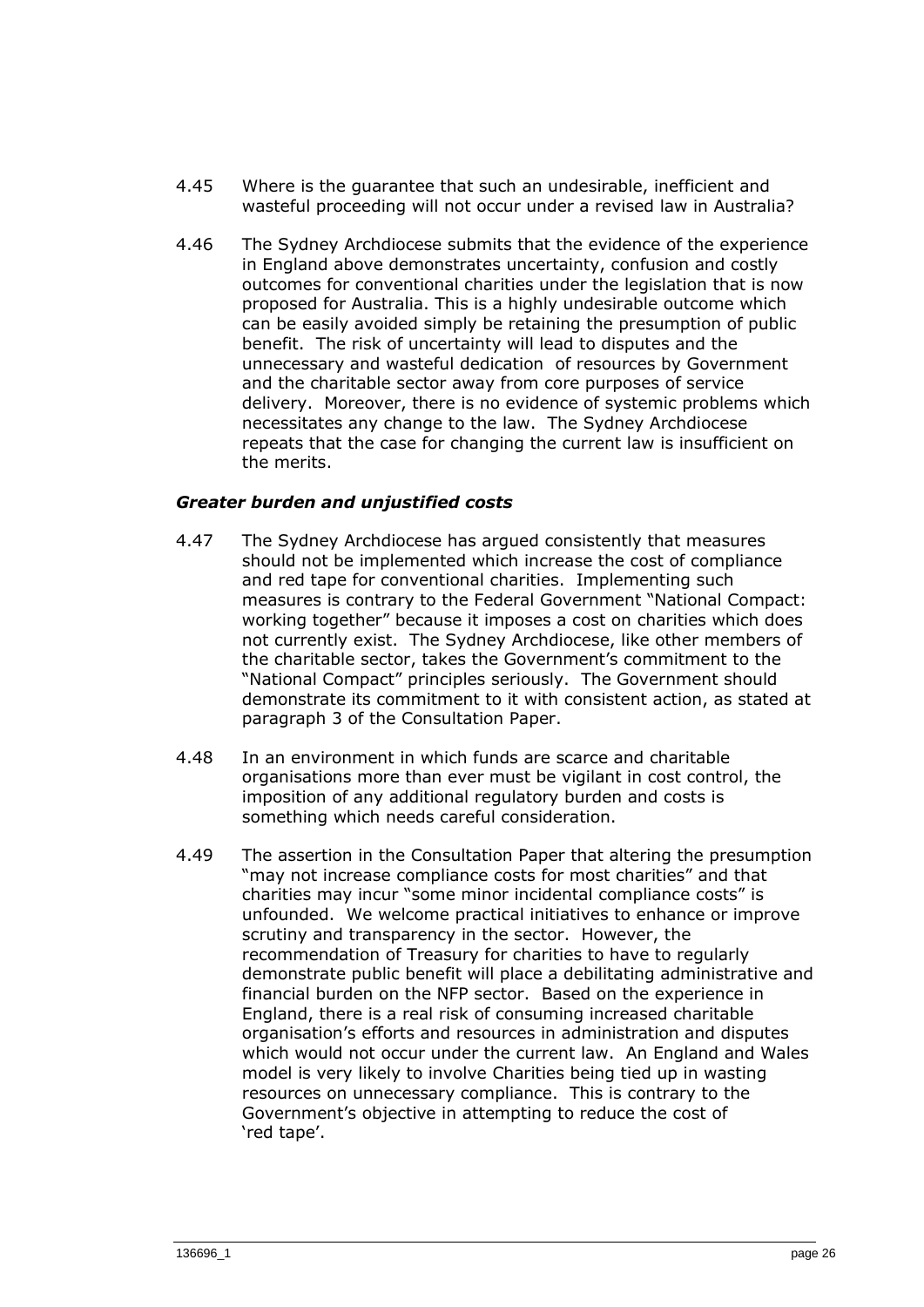- 4.45 Where is the guarantee that such an undesirable, inefficient and wasteful proceeding will not occur under a revised law in Australia?
- 4.46 The Sydney Archdiocese submits that the evidence of the experience in England above demonstrates uncertainty, confusion and costly outcomes for conventional charities under the legislation that is now proposed for Australia. This is a highly undesirable outcome which can be easily avoided simply be retaining the presumption of public benefit. The risk of uncertainty will lead to disputes and the unnecessary and wasteful dedication of resources by Government and the charitable sector away from core purposes of service delivery. Moreover, there is no evidence of systemic problems which necessitates any change to the law. The Sydney Archdiocese repeats that the case for changing the current law is insufficient on the merits.

## *Greater burden and unjustified costs*

- 4.47 The Sydney Archdiocese has argued consistently that measures should not be implemented which increase the cost of compliance and red tape for conventional charities. Implementing such measures is contrary to the Federal Government "National Compact: working together" because it imposes a cost on charities which does not currently exist. The Sydney Archdiocese, like other members of the charitable sector, takes the Government's commitment to the "National Compact" principles seriously. The Government should demonstrate its commitment to it with consistent action, as stated at paragraph 3 of the Consultation Paper.
- 4.48 In an environment in which funds are scarce and charitable organisations more than ever must be vigilant in cost control, the imposition of any additional regulatory burden and costs is something which needs careful consideration.
- 4.49 The assertion in the Consultation Paper that altering the presumption "may not increase compliance costs for most charities" and that charities may incur "some minor incidental compliance costs" is unfounded. We welcome practical initiatives to enhance or improve scrutiny and transparency in the sector. However, the recommendation of Treasury for charities to have to regularly demonstrate public benefit will place a debilitating administrative and financial burden on the NFP sector. Based on the experience in England, there is a real risk of consuming increased charitable organisation's efforts and resources in administration and disputes which would not occur under the current law. An England and Wales model is very likely to involve Charities being tied up in wasting resources on unnecessary compliance. This is contrary to the Government's objective in attempting to reduce the cost of 'red tape'.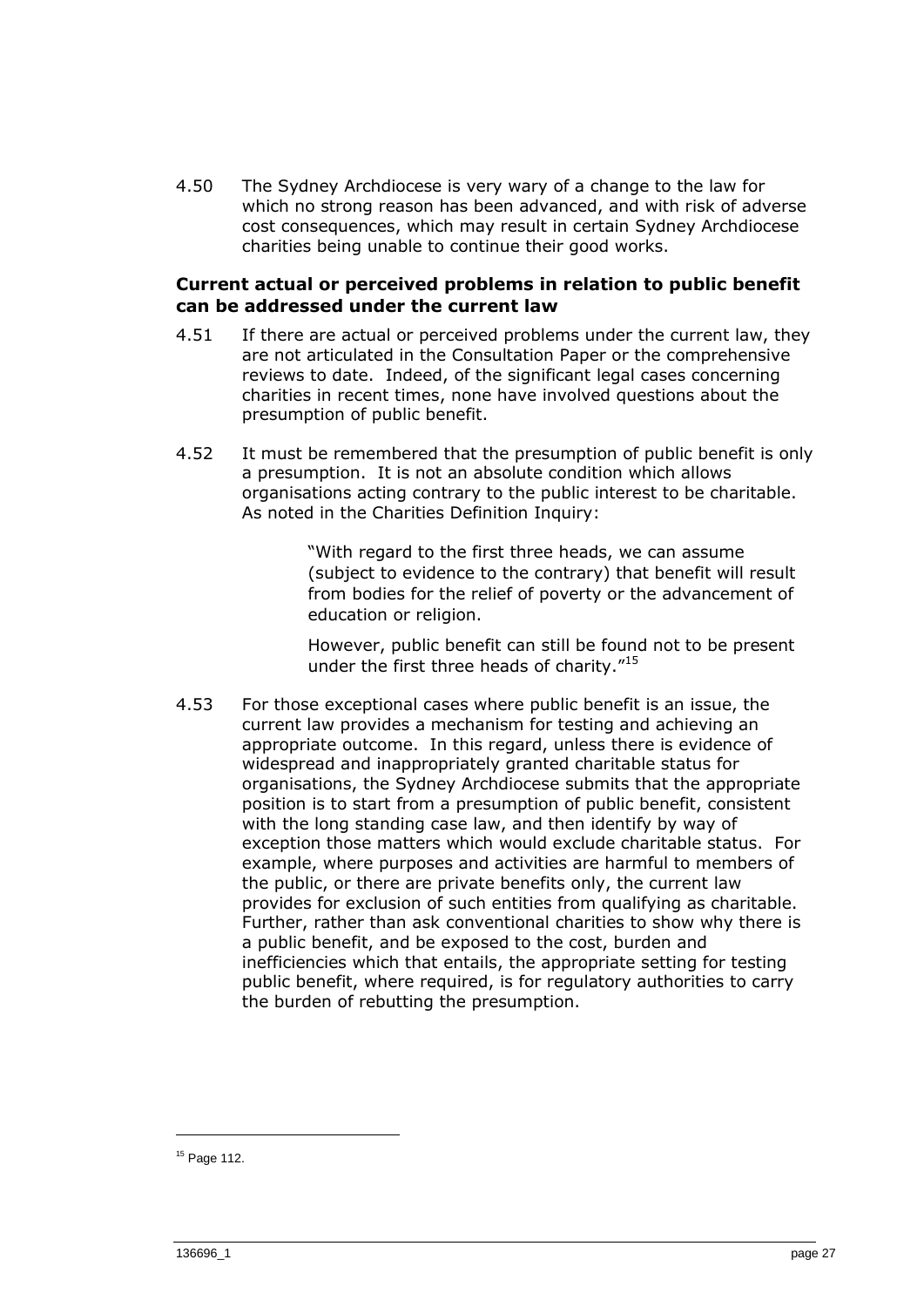4.50 The Sydney Archdiocese is very wary of a change to the law for which no strong reason has been advanced, and with risk of adverse cost consequences, which may result in certain Sydney Archdiocese charities being unable to continue their good works.

#### **Current actual or perceived problems in relation to public benefit can be addressed under the current law**

- 4.51 If there are actual or perceived problems under the current law, they are not articulated in the Consultation Paper or the comprehensive reviews to date. Indeed, of the significant legal cases concerning charities in recent times, none have involved questions about the presumption of public benefit.
- 4.52 It must be remembered that the presumption of public benefit is only a presumption. It is not an absolute condition which allows organisations acting contrary to the public interest to be charitable. As noted in the Charities Definition Inquiry:

"With regard to the first three heads, we can assume (subject to evidence to the contrary) that benefit will result from bodies for the relief of poverty or the advancement of education or religion.

However, public benefit can still be found not to be present under the first three heads of charity."<sup>15</sup>

4.53 For those exceptional cases where public benefit is an issue, the current law provides a mechanism for testing and achieving an appropriate outcome. In this regard, unless there is evidence of widespread and inappropriately granted charitable status for organisations, the Sydney Archdiocese submits that the appropriate position is to start from a presumption of public benefit, consistent with the long standing case law, and then identify by way of exception those matters which would exclude charitable status. For example, where purposes and activities are harmful to members of the public, or there are private benefits only, the current law provides for exclusion of such entities from qualifying as charitable. Further, rather than ask conventional charities to show why there is a public benefit, and be exposed to the cost, burden and inefficiencies which that entails, the appropriate setting for testing public benefit, where required, is for regulatory authorities to carry the burden of rebutting the presumption.

<sup>15</sup> Page 112.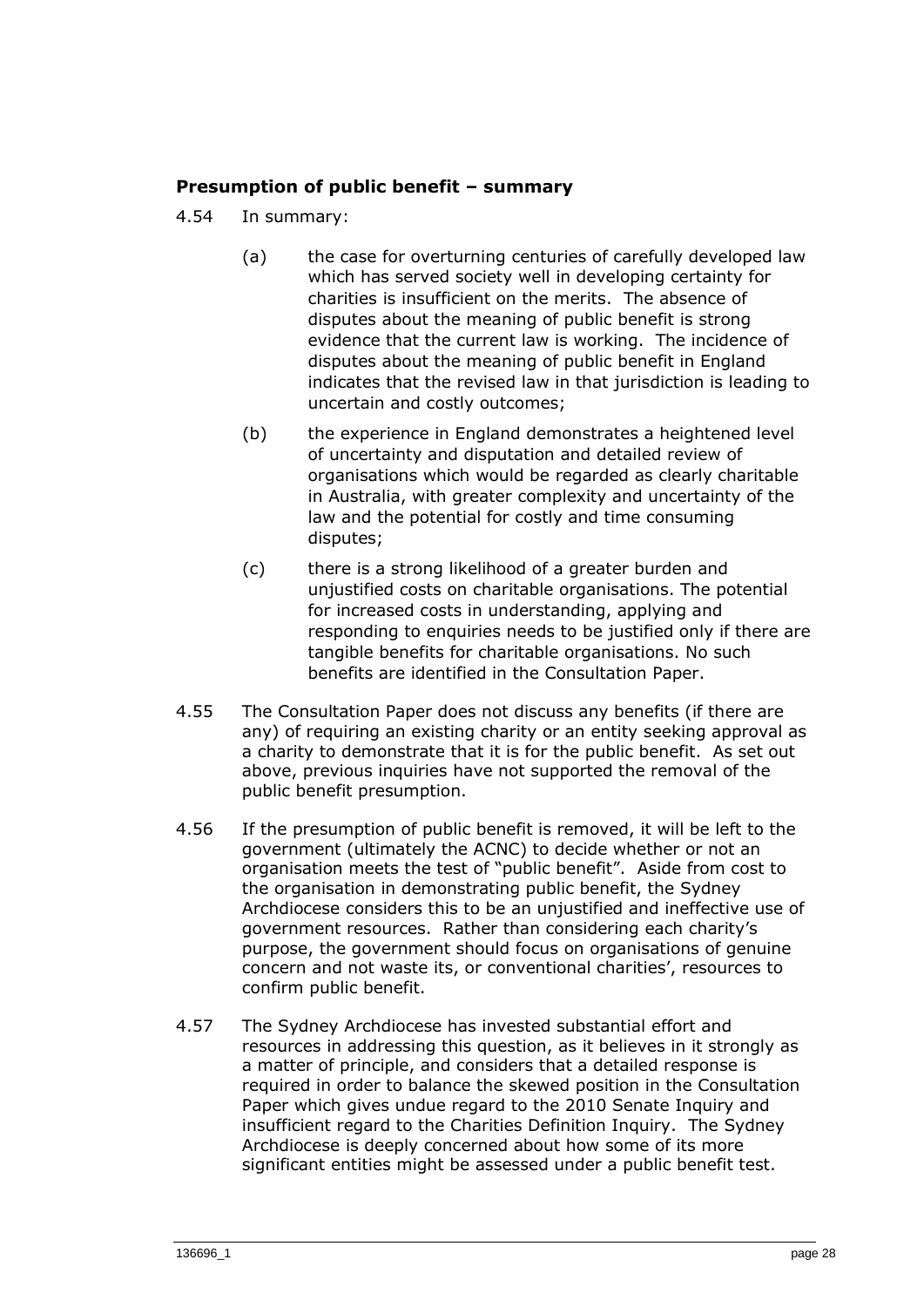## **Presumption of public benefit – summary**

- 4.54 In summary:
	- (a) the case for overturning centuries of carefully developed law which has served society well in developing certainty for charities is insufficient on the merits. The absence of disputes about the meaning of public benefit is strong evidence that the current law is working. The incidence of disputes about the meaning of public benefit in England indicates that the revised law in that jurisdiction is leading to uncertain and costly outcomes;
	- (b) the experience in England demonstrates a heightened level of uncertainty and disputation and detailed review of organisations which would be regarded as clearly charitable in Australia, with greater complexity and uncertainty of the law and the potential for costly and time consuming disputes;
	- (c) there is a strong likelihood of a greater burden and unjustified costs on charitable organisations. The potential for increased costs in understanding, applying and responding to enquiries needs to be justified only if there are tangible benefits for charitable organisations. No such benefits are identified in the Consultation Paper.
- 4.55 The Consultation Paper does not discuss any benefits (if there are any) of requiring an existing charity or an entity seeking approval as a charity to demonstrate that it is for the public benefit. As set out above, previous inquiries have not supported the removal of the public benefit presumption.
- 4.56 If the presumption of public benefit is removed, it will be left to the government (ultimately the ACNC) to decide whether or not an organisation meets the test of "public benefit". Aside from cost to the organisation in demonstrating public benefit, the Sydney Archdiocese considers this to be an unjustified and ineffective use of government resources. Rather than considering each charity's purpose, the government should focus on organisations of genuine concern and not waste its, or conventional charities', resources to confirm public benefit.
- 4.57 The Sydney Archdiocese has invested substantial effort and resources in addressing this question, as it believes in it strongly as a matter of principle, and considers that a detailed response is required in order to balance the skewed position in the Consultation Paper which gives undue regard to the 2010 Senate Inquiry and insufficient regard to the Charities Definition Inquiry. The Sydney Archdiocese is deeply concerned about how some of its more significant entities might be assessed under a public benefit test.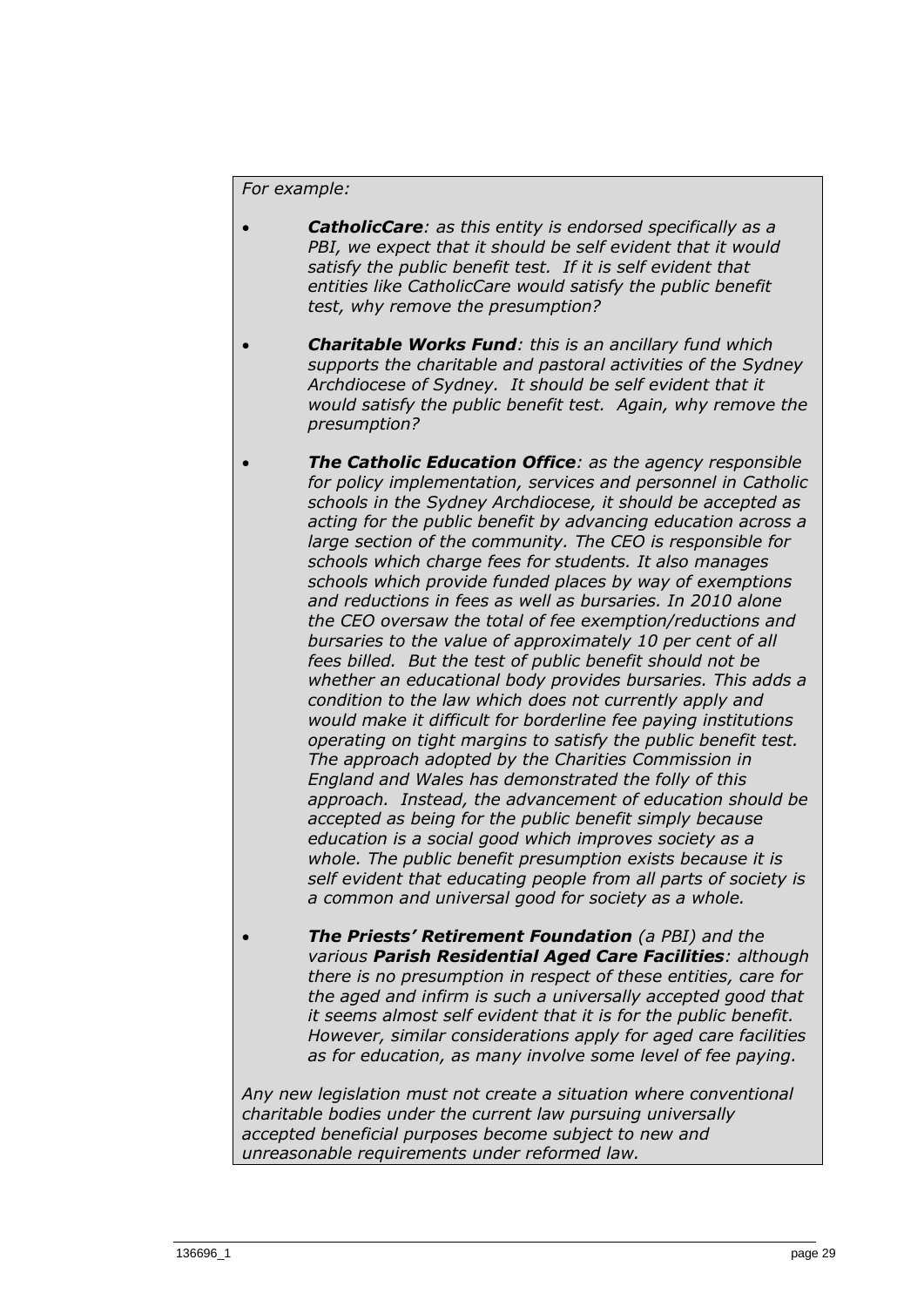#### *For example:*

- *CatholicCare: as this entity is endorsed specifically as a PBI, we expect that it should be self evident that it would satisfy the public benefit test. If it is self evident that entities like CatholicCare would satisfy the public benefit test, why remove the presumption?*
- *Charitable Works Fund: this is an ancillary fund which supports the charitable and pastoral activities of the Sydney Archdiocese of Sydney. It should be self evident that it would satisfy the public benefit test. Again, why remove the presumption?*
- *The Catholic Education Office: as the agency responsible for policy implementation, services and personnel in Catholic schools in the Sydney Archdiocese, it should be accepted as acting for the public benefit by advancing education across a large section of the community. The CEO is responsible for schools which charge fees for students. It also manages schools which provide funded places by way of exemptions and reductions in fees as well as bursaries. In 2010 alone the CEO oversaw the total of fee exemption/reductions and bursaries to the value of approximately 10 per cent of all fees billed. But the test of public benefit should not be whether an educational body provides bursaries. This adds a condition to the law which does not currently apply and would make it difficult for borderline fee paying institutions operating on tight margins to satisfy the public benefit test. The approach adopted by the Charities Commission in England and Wales has demonstrated the folly of this approach. Instead, the advancement of education should be accepted as being for the public benefit simply because education is a social good which improves society as a whole. The public benefit presumption exists because it is self evident that educating people from all parts of society is a common and universal good for society as a whole.*
- *The Priests' Retirement Foundation (a PBI) and the various Parish Residential Aged Care Facilities: although there is no presumption in respect of these entities, care for the aged and infirm is such a universally accepted good that it seems almost self evident that it is for the public benefit. However, similar considerations apply for aged care facilities as for education, as many involve some level of fee paying.*

*Any new legislation must not create a situation where conventional charitable bodies under the current law pursuing universally accepted beneficial purposes become subject to new and unreasonable requirements under reformed law.*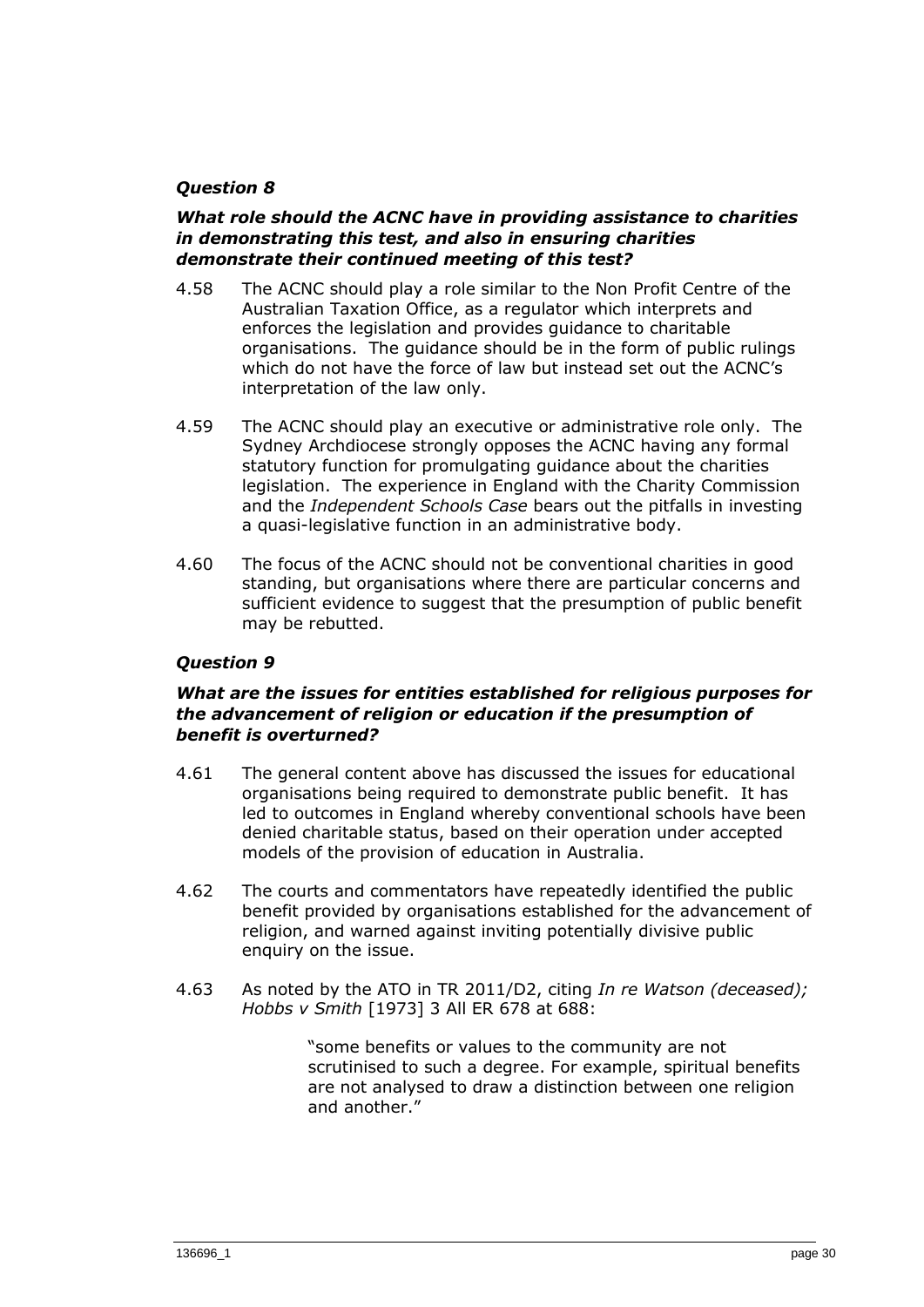## *Question 8*

#### *What role should the ACNC have in providing assistance to charities in demonstrating this test, and also in ensuring charities demonstrate their continued meeting of this test?*

- 4.58 The ACNC should play a role similar to the Non Profit Centre of the Australian Taxation Office, as a regulator which interprets and enforces the legislation and provides guidance to charitable organisations. The guidance should be in the form of public rulings which do not have the force of law but instead set out the ACNC's interpretation of the law only.
- 4.59 The ACNC should play an executive or administrative role only. The Sydney Archdiocese strongly opposes the ACNC having any formal statutory function for promulgating guidance about the charities legislation. The experience in England with the Charity Commission and the *Independent Schools Case* bears out the pitfalls in investing a quasi-legislative function in an administrative body.
- 4.60 The focus of the ACNC should not be conventional charities in good standing, but organisations where there are particular concerns and sufficient evidence to suggest that the presumption of public benefit may be rebutted.

## *Question 9*

## *What are the issues for entities established for religious purposes for the advancement of religion or education if the presumption of benefit is overturned?*

- 4.61 The general content above has discussed the issues for educational organisations being required to demonstrate public benefit. It has led to outcomes in England whereby conventional schools have been denied charitable status, based on their operation under accepted models of the provision of education in Australia.
- 4.62 The courts and commentators have repeatedly identified the public benefit provided by organisations established for the advancement of religion, and warned against inviting potentially divisive public enquiry on the issue.
- 4.63 As noted by the ATO in TR 2011/D2, citing *In re Watson (deceased); Hobbs v Smith* [1973] 3 All ER 678 at 688:

"some benefits or values to the community are not scrutinised to such a degree. For example, spiritual benefits are not analysed to draw a distinction between one religion and another."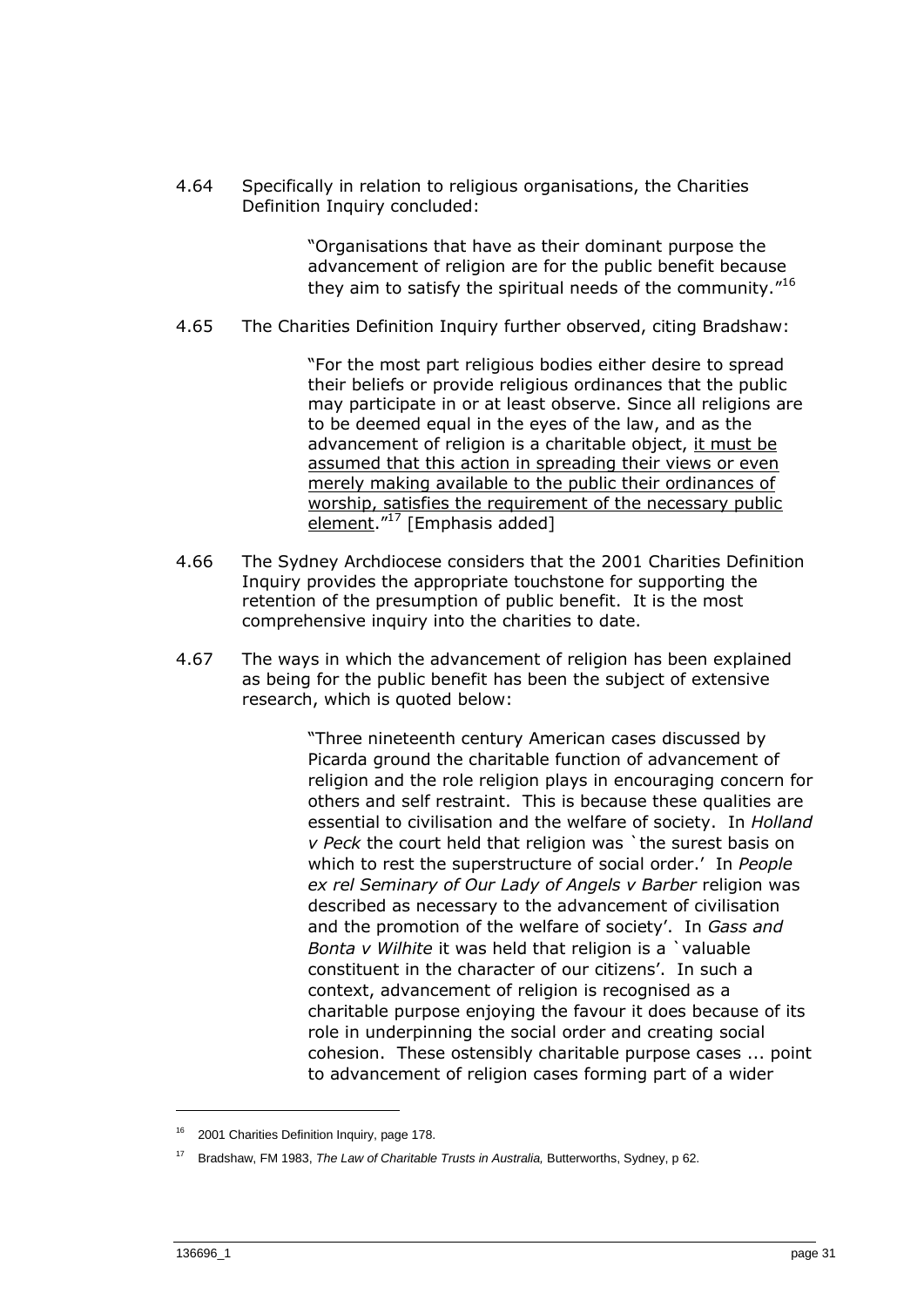4.64 Specifically in relation to religious organisations, the Charities Definition Inquiry concluded:

> "Organisations that have as their dominant purpose the advancement of religion are for the public benefit because they aim to satisfy the spiritual needs of the community."<sup>16</sup>

4.65 The Charities Definition Inquiry further observed, citing Bradshaw:

"For the most part religious bodies either desire to spread their beliefs or provide religious ordinances that the public may participate in or at least observe. Since all religions are to be deemed equal in the eyes of the law, and as the advancement of religion is a charitable object, it must be assumed that this action in spreading their views or even merely making available to the public their ordinances of worship, satisfies the requirement of the necessary public element."<sup>17</sup> [Emphasis added]

- 4.66 The Sydney Archdiocese considers that the 2001 Charities Definition Inquiry provides the appropriate touchstone for supporting the retention of the presumption of public benefit. It is the most comprehensive inquiry into the charities to date.
- 4.67 The ways in which the advancement of religion has been explained as being for the public benefit has been the subject of extensive research, which is quoted below:

"Three nineteenth century American cases discussed by Picarda ground the charitable function of advancement of religion and the role religion plays in encouraging concern for others and self restraint. This is because these qualities are essential to civilisation and the welfare of society. In *Holland v Peck* the court held that religion was `the surest basis on which to rest the superstructure of social order.' In *People ex rel Seminary of Our Lady of Angels v Barber* religion was described as necessary to the advancement of civilisation and the promotion of the welfare of society'. In *Gass and Bonta v Wilhite* it was held that religion is a `valuable constituent in the character of our citizens'. In such a context, advancement of religion is recognised as a charitable purpose enjoying the favour it does because of its role in underpinning the social order and creating social cohesion. These ostensibly charitable purpose cases ... point to advancement of religion cases forming part of a wider

<sup>2001</sup> Charities Definition Inquiry, page 178.

<sup>17</sup> Bradshaw, FM 1983, *The Law of Charitable Trusts in Australia,* Butterworths, Sydney, p 62.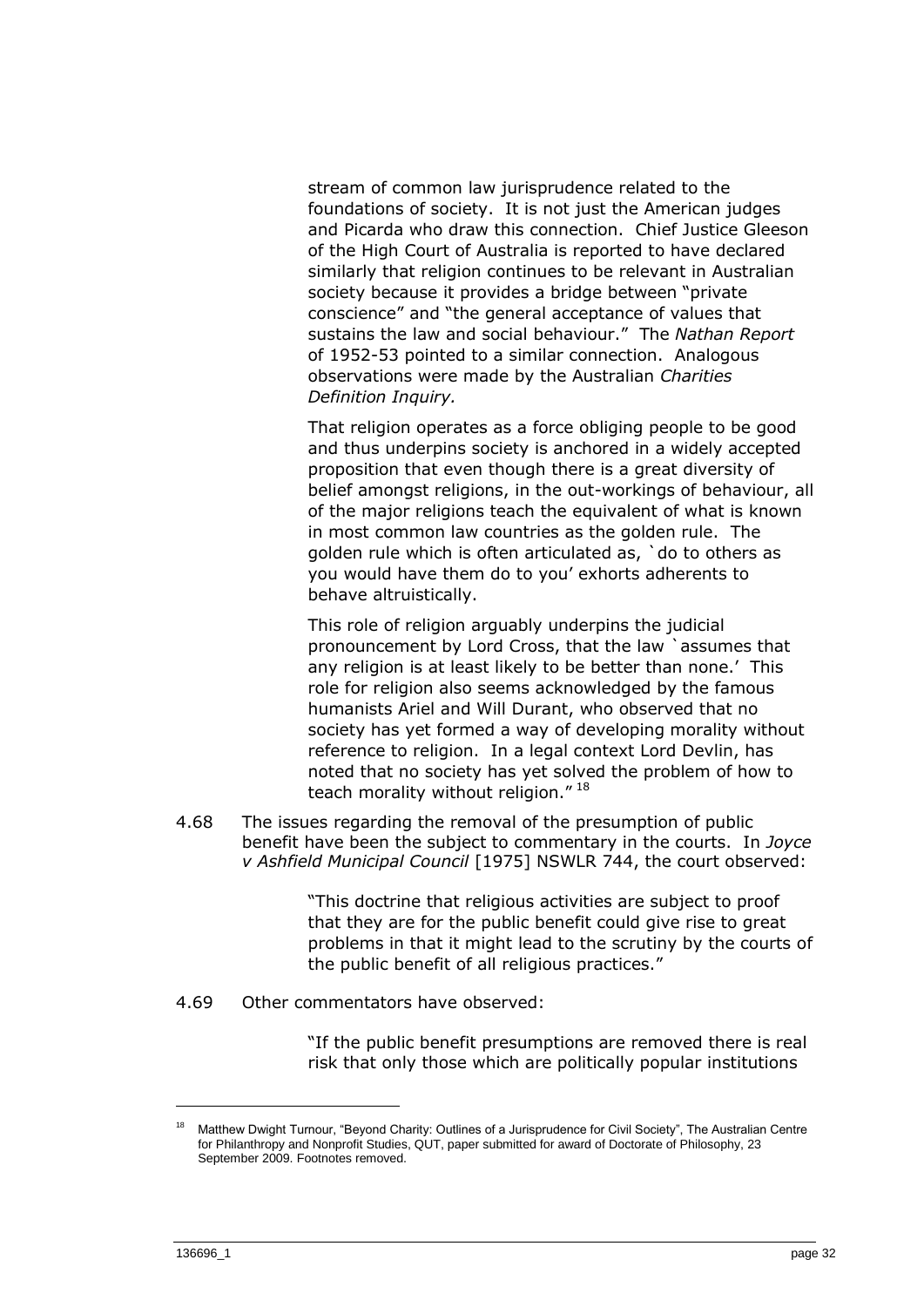stream of common law jurisprudence related to the foundations of society. It is not just the American judges and Picarda who draw this connection. Chief Justice Gleeson of the High Court of Australia is reported to have declared similarly that religion continues to be relevant in Australian society because it provides a bridge between "private conscience" and "the general acceptance of values that sustains the law and social behaviour." The *Nathan Report* of 1952-53 pointed to a similar connection. Analogous observations were made by the Australian *Charities Definition Inquiry.*

That religion operates as a force obliging people to be good and thus underpins society is anchored in a widely accepted proposition that even though there is a great diversity of belief amongst religions, in the out-workings of behaviour, all of the major religions teach the equivalent of what is known in most common law countries as the golden rule. The golden rule which is often articulated as, `do to others as you would have them do to you' exhorts adherents to behave altruistically.

This role of religion arguably underpins the judicial pronouncement by Lord Cross, that the law `assumes that any religion is at least likely to be better than none.' This role for religion also seems acknowledged by the famous humanists Ariel and Will Durant, who observed that no society has yet formed a way of developing morality without reference to religion. In a legal context Lord Devlin, has noted that no society has yet solved the problem of how to teach morality without religion."<sup>18</sup>

4.68 The issues regarding the removal of the presumption of public benefit have been the subject to commentary in the courts. In *Joyce v Ashfield Municipal Council* [1975] NSWLR 744, the court observed:

> "This doctrine that religious activities are subject to proof that they are for the public benefit could give rise to great problems in that it might lead to the scrutiny by the courts of the public benefit of all religious practices."

4.69 Other commentators have observed:

"If the public benefit presumptions are removed there is real risk that only those which are politically popular institutions

<sup>18</sup> Matthew Dwight Turnour, "Beyond Charity: Outlines of a Jurisprudence for Civil Society", The Australian Centre for Philanthropy and Nonprofit Studies, QUT, paper submitted for award of Doctorate of Philosophy, 23 September 2009. Footnotes removed.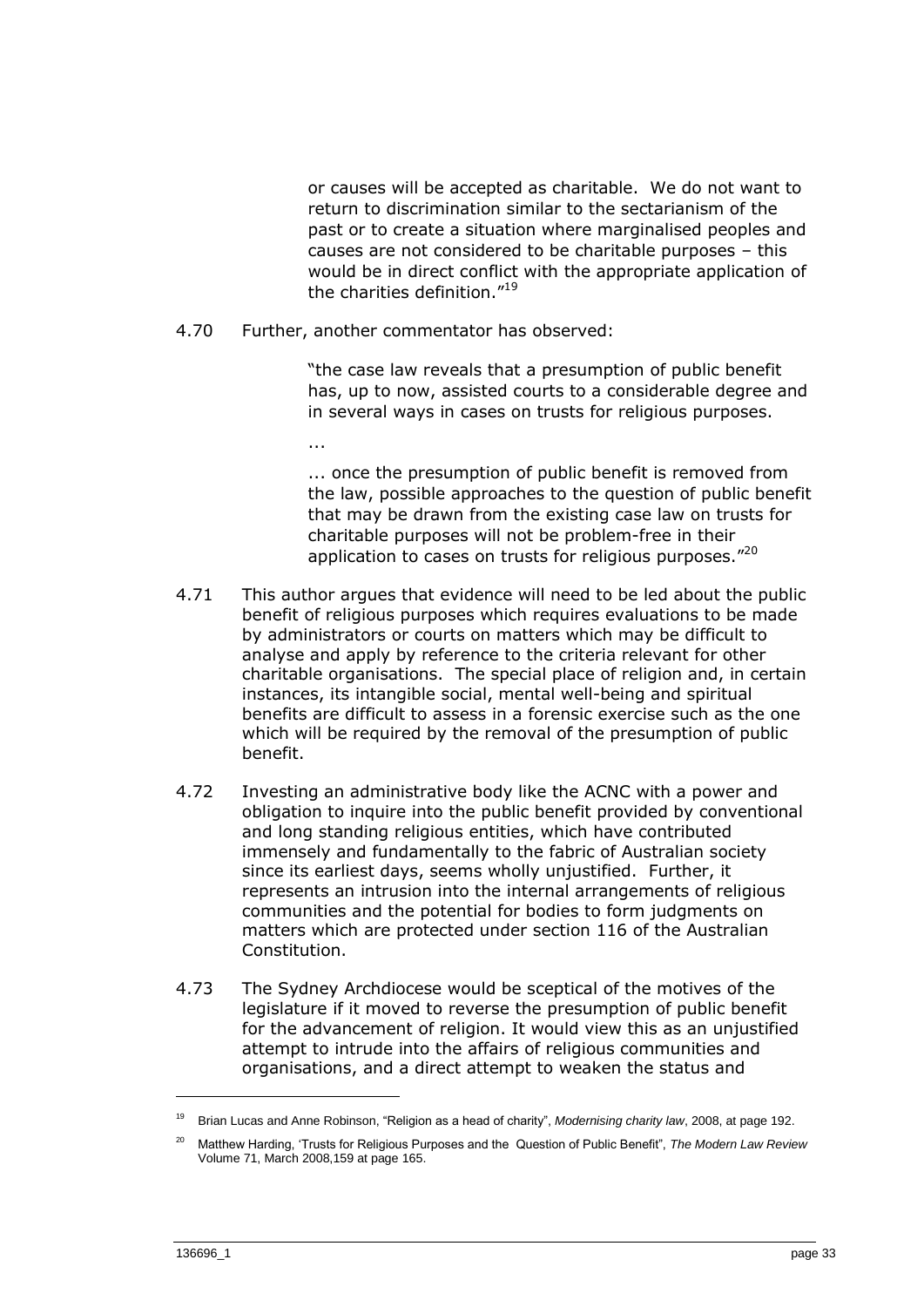or causes will be accepted as charitable. We do not want to return to discrimination similar to the sectarianism of the past or to create a situation where marginalised peoples and causes are not considered to be charitable purposes – this would be in direct conflict with the appropriate application of the charities definition."<sup>19</sup>

4.70 Further, another commentator has observed:

"the case law reveals that a presumption of public benefit has, up to now, assisted courts to a considerable degree and in several ways in cases on trusts for religious purposes.

...

... once the presumption of public benefit is removed from the law, possible approaches to the question of public benefit that may be drawn from the existing case law on trusts for charitable purposes will not be problem-free in their application to cases on trusts for religious purposes."20

- 4.71 This author argues that evidence will need to be led about the public benefit of religious purposes which requires evaluations to be made by administrators or courts on matters which may be difficult to analyse and apply by reference to the criteria relevant for other charitable organisations. The special place of religion and, in certain instances, its intangible social, mental well-being and spiritual benefits are difficult to assess in a forensic exercise such as the one which will be required by the removal of the presumption of public benefit.
- 4.72 Investing an administrative body like the ACNC with a power and obligation to inquire into the public benefit provided by conventional and long standing religious entities, which have contributed immensely and fundamentally to the fabric of Australian society since its earliest days, seems wholly unjustified. Further, it represents an intrusion into the internal arrangements of religious communities and the potential for bodies to form judgments on matters which are protected under section 116 of the Australian Constitution.
- 4.73 The Sydney Archdiocese would be sceptical of the motives of the legislature if it moved to reverse the presumption of public benefit for the advancement of religion. It would view this as an unjustified attempt to intrude into the affairs of religious communities and organisations, and a direct attempt to weaken the status and

<sup>19</sup> Brian Lucas and Anne Robinson, "Religion as a head of charity", *Modernising charity law*, 2008, at page 192.

<sup>20</sup> Matthew Harding, 'Trusts for Religious Purposes and the Question of Public Benefit", *The Modern Law Review* Volume 71, March 2008,159 at page 165.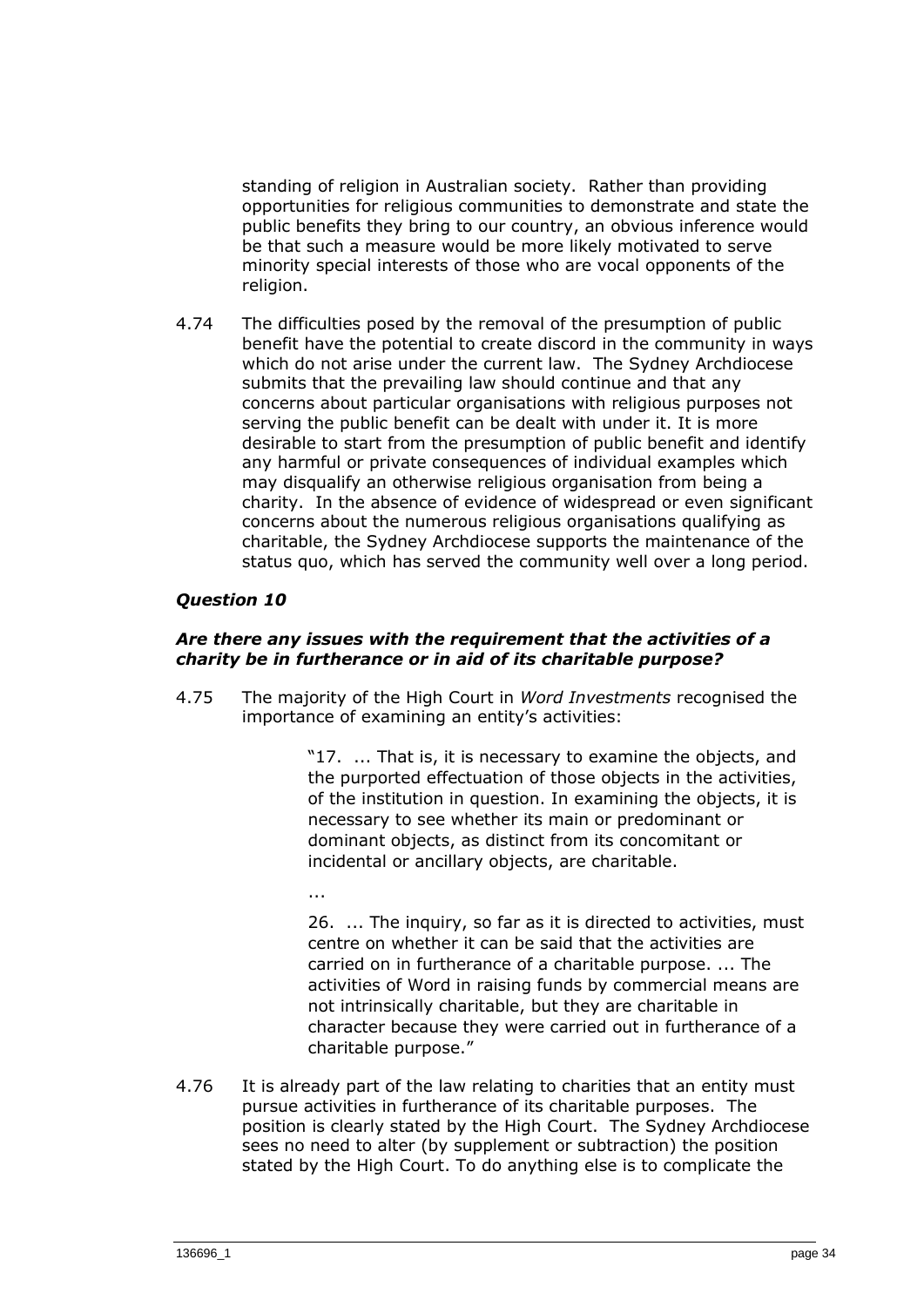standing of religion in Australian society. Rather than providing opportunities for religious communities to demonstrate and state the public benefits they bring to our country, an obvious inference would be that such a measure would be more likely motivated to serve minority special interests of those who are vocal opponents of the religion.

4.74 The difficulties posed by the removal of the presumption of public benefit have the potential to create discord in the community in ways which do not arise under the current law. The Sydney Archdiocese submits that the prevailing law should continue and that any concerns about particular organisations with religious purposes not serving the public benefit can be dealt with under it. It is more desirable to start from the presumption of public benefit and identify any harmful or private consequences of individual examples which may disqualify an otherwise religious organisation from being a charity. In the absence of evidence of widespread or even significant concerns about the numerous religious organisations qualifying as charitable, the Sydney Archdiocese supports the maintenance of the status quo, which has served the community well over a long period.

## *Question 10*

...

#### *Are there any issues with the requirement that the activities of a charity be in furtherance or in aid of its charitable purpose?*

4.75 The majority of the High Court in *Word Investments* recognised the importance of examining an entity's activities:

> "17. ... That is, it is necessary to examine the objects, and the purported effectuation of those objects in the activities, of the institution in question. In examining the objects, it is necessary to see whether its main or predominant or dominant objects, as distinct from its concomitant or incidental or ancillary objects, are charitable.

26. ... The inquiry, so far as it is directed to activities, must centre on whether it can be said that the activities are carried on in furtherance of a charitable purpose. ... The activities of Word in raising funds by commercial means are not intrinsically charitable, but they are charitable in character because they were carried out in furtherance of a charitable purpose."

4.76 It is already part of the law relating to charities that an entity must pursue activities in furtherance of its charitable purposes. The position is clearly stated by the High Court. The Sydney Archdiocese sees no need to alter (by supplement or subtraction) the position stated by the High Court. To do anything else is to complicate the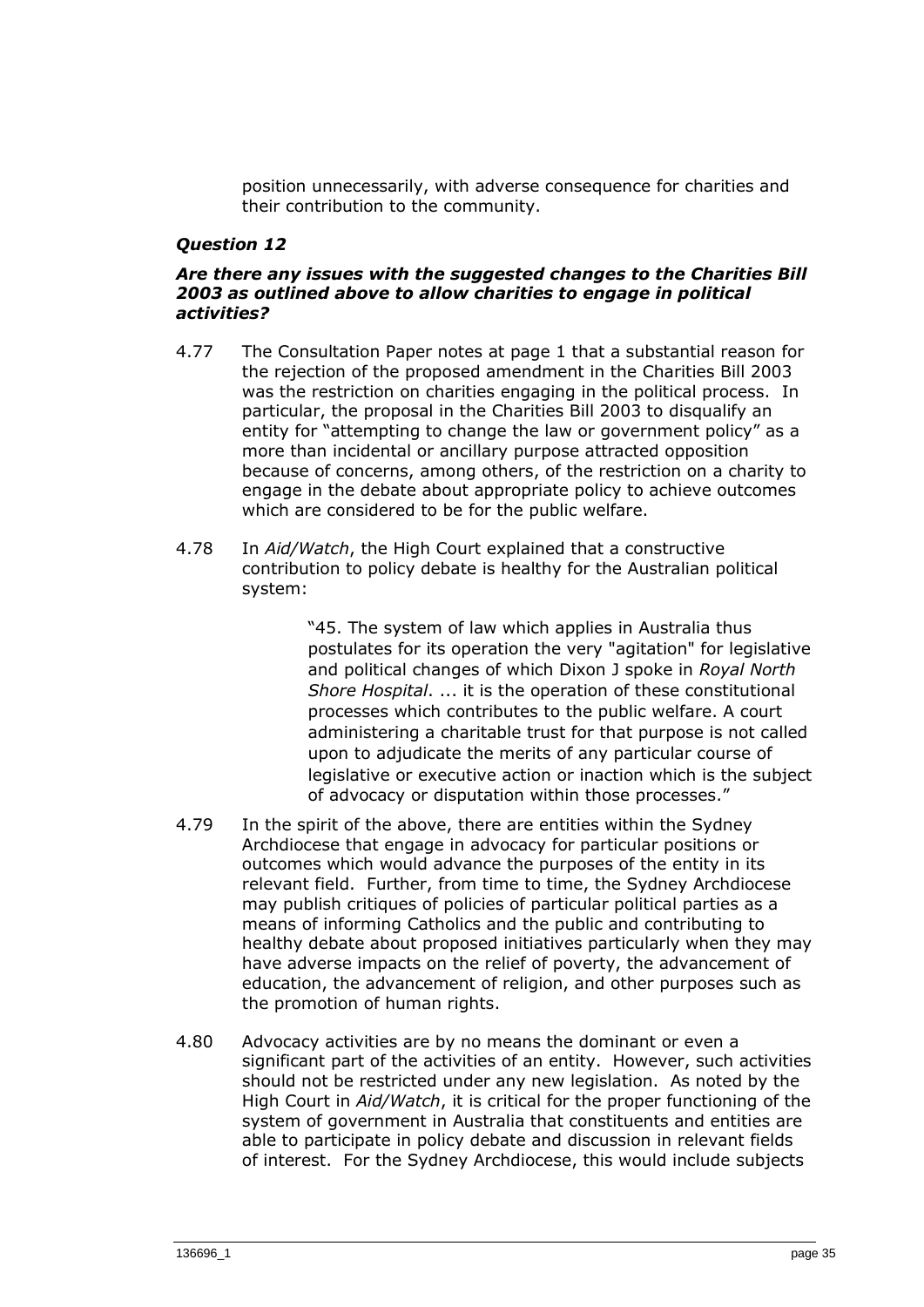position unnecessarily, with adverse consequence for charities and their contribution to the community.

#### *Question 12*

#### *Are there any issues with the suggested changes to the Charities Bill 2003 as outlined above to allow charities to engage in political activities?*

- 4.77 The Consultation Paper notes at page 1 that a substantial reason for the rejection of the proposed amendment in the Charities Bill 2003 was the restriction on charities engaging in the political process. In particular, the proposal in the Charities Bill 2003 to disqualify an entity for "attempting to change the law or government policy" as a more than incidental or ancillary purpose attracted opposition because of concerns, among others, of the restriction on a charity to engage in the debate about appropriate policy to achieve outcomes which are considered to be for the public welfare.
- 4.78 In *Aid/Watch*, the High Court explained that a constructive contribution to policy debate is healthy for the Australian political system:

"45. The system of law which applies in Australia thus postulates for its operation the very "agitation" for legislative and political changes of which Dixon J spoke in *Royal North Shore Hospital*. ... it is the operation of these constitutional processes which contributes to the public welfare. A court administering a charitable trust for that purpose is not called upon to adjudicate the merits of any particular course of legislative or executive action or inaction which is the subject of advocacy or disputation within those processes."

- 4.79 In the spirit of the above, there are entities within the Sydney Archdiocese that engage in advocacy for particular positions or outcomes which would advance the purposes of the entity in its relevant field. Further, from time to time, the Sydney Archdiocese may publish critiques of policies of particular political parties as a means of informing Catholics and the public and contributing to healthy debate about proposed initiatives particularly when they may have adverse impacts on the relief of poverty, the advancement of education, the advancement of religion, and other purposes such as the promotion of human rights.
- 4.80 Advocacy activities are by no means the dominant or even a significant part of the activities of an entity. However, such activities should not be restricted under any new legislation. As noted by the High Court in *Aid/Watch*, it is critical for the proper functioning of the system of government in Australia that constituents and entities are able to participate in policy debate and discussion in relevant fields of interest. For the Sydney Archdiocese, this would include subjects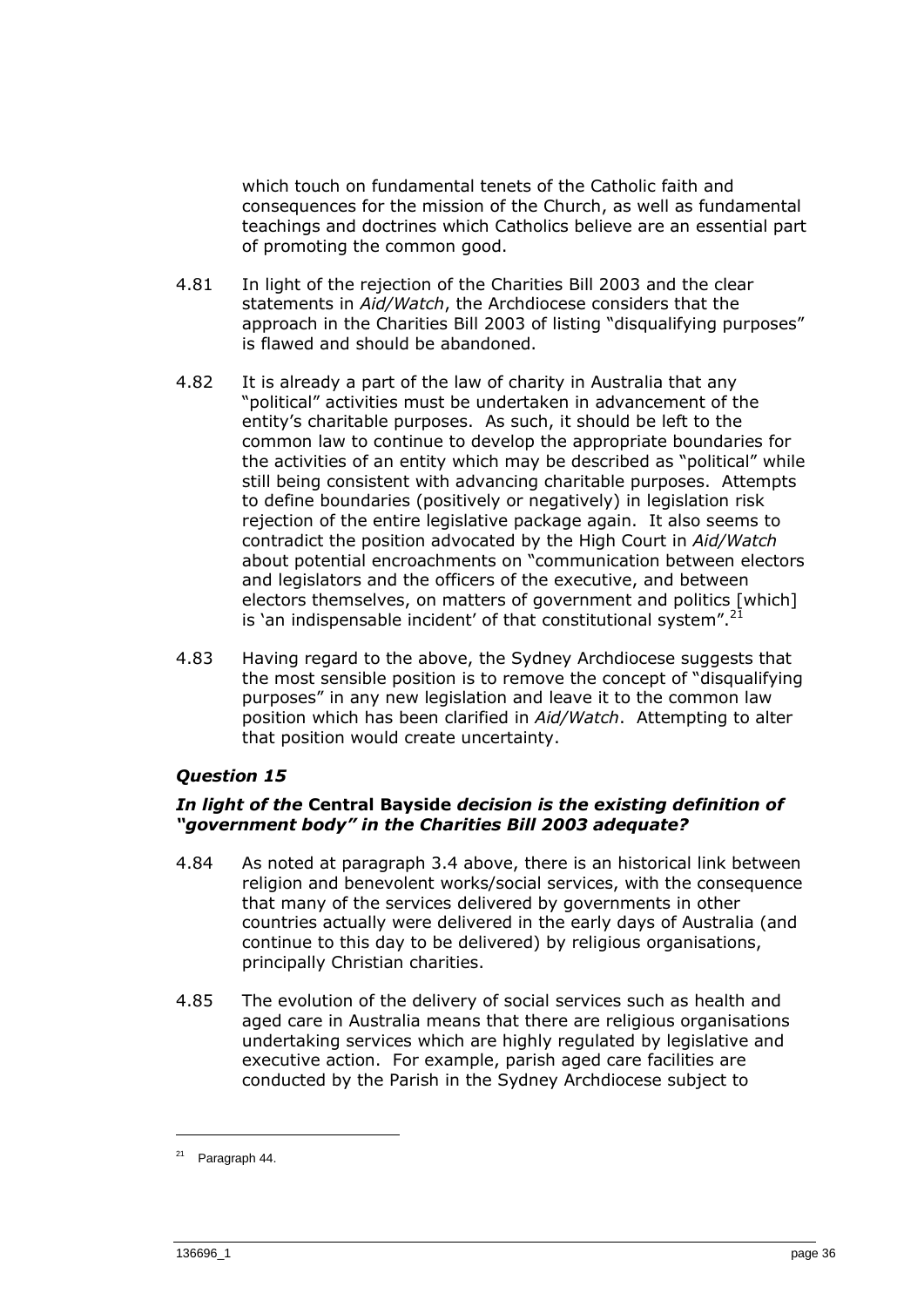which touch on fundamental tenets of the Catholic faith and consequences for the mission of the Church, as well as fundamental teachings and doctrines which Catholics believe are an essential part of promoting the common good.

- 4.81 In light of the rejection of the Charities Bill 2003 and the clear statements in *Aid/Watch*, the Archdiocese considers that the approach in the Charities Bill 2003 of listing "disqualifying purposes" is flawed and should be abandoned.
- 4.82 It is already a part of the law of charity in Australia that any "political" activities must be undertaken in advancement of the entity's charitable purposes. As such, it should be left to the common law to continue to develop the appropriate boundaries for the activities of an entity which may be described as "political" while still being consistent with advancing charitable purposes. Attempts to define boundaries (positively or negatively) in legislation risk rejection of the entire legislative package again. It also seems to contradict the position advocated by the High Court in *Aid/Watch* about potential encroachments on "communication between electors and legislators and the officers of the executive, and between electors themselves, on matters of government and politics [which] is 'an indispensable incident' of that constitutional system".
- 4.83 Having regard to the above, the Sydney Archdiocese suggests that the most sensible position is to remove the concept of "disqualifying purposes" in any new legislation and leave it to the common law position which has been clarified in *Aid/Watch*. Attempting to alter that position would create uncertainty.

## *Question 15*

## *In light of the* **Central Bayside** *decision is the existing definition of "government body" in the Charities Bill 2003 adequate?*

- 4.84 As noted at paragraph 3.4 above, there is an historical link between religion and benevolent works/social services, with the consequence that many of the services delivered by governments in other countries actually were delivered in the early days of Australia (and continue to this day to be delivered) by religious organisations, principally Christian charities.
- 4.85 The evolution of the delivery of social services such as health and aged care in Australia means that there are religious organisations undertaking services which are highly regulated by legislative and executive action. For example, parish aged care facilities are conducted by the Parish in the Sydney Archdiocese subject to

<sup>21</sup> Paragraph 44.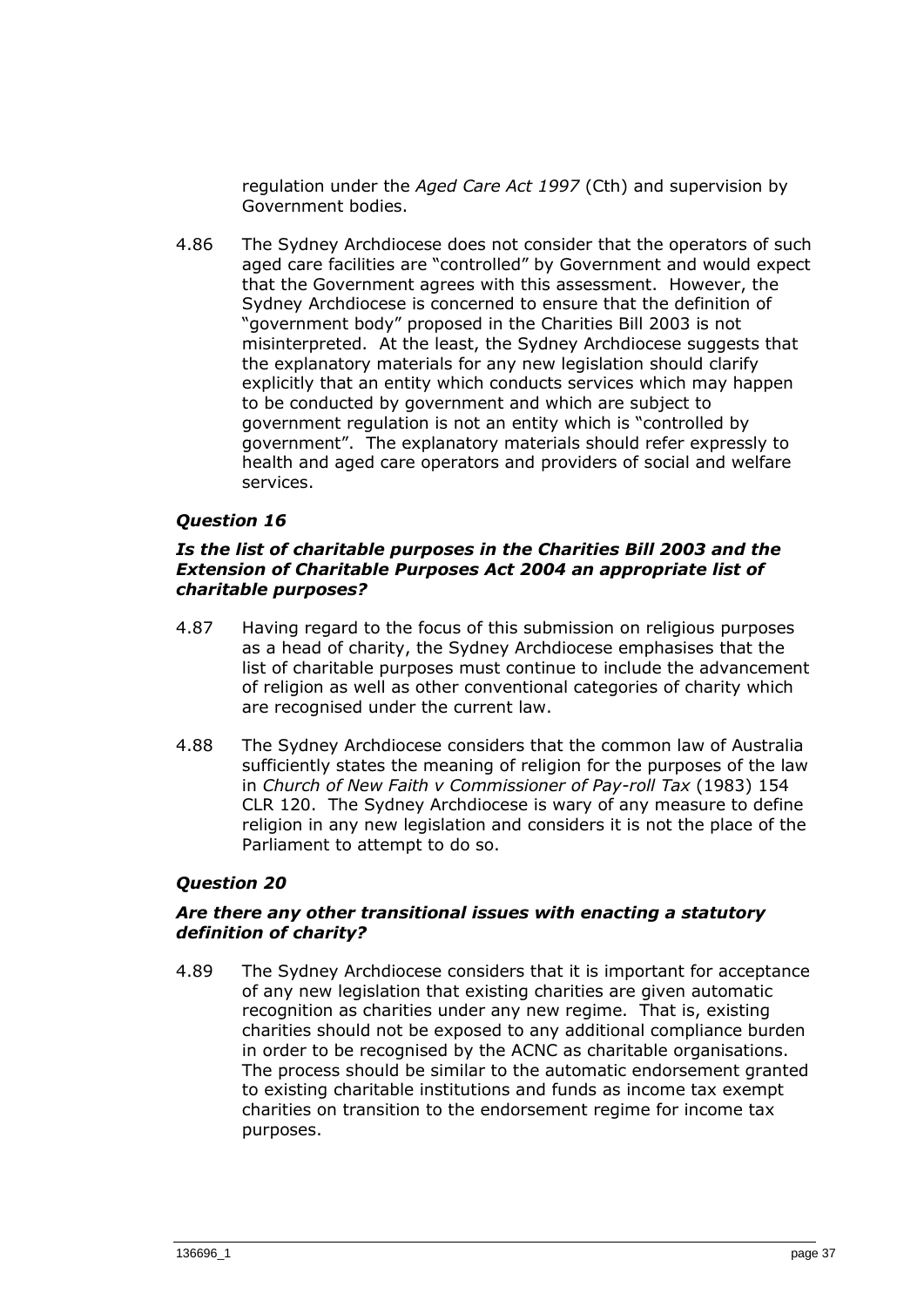regulation under the *Aged Care Act 1997* (Cth) and supervision by Government bodies.

4.86 The Sydney Archdiocese does not consider that the operators of such aged care facilities are "controlled" by Government and would expect that the Government agrees with this assessment. However, the Sydney Archdiocese is concerned to ensure that the definition of "government body" proposed in the Charities Bill 2003 is not misinterpreted. At the least, the Sydney Archdiocese suggests that the explanatory materials for any new legislation should clarify explicitly that an entity which conducts services which may happen to be conducted by government and which are subject to government regulation is not an entity which is "controlled by government". The explanatory materials should refer expressly to health and aged care operators and providers of social and welfare services.

## *Question 16*

#### *Is the list of charitable purposes in the Charities Bill 2003 and the Extension of Charitable Purposes Act 2004 an appropriate list of charitable purposes?*

- 4.87 Having regard to the focus of this submission on religious purposes as a head of charity, the Sydney Archdiocese emphasises that the list of charitable purposes must continue to include the advancement of religion as well as other conventional categories of charity which are recognised under the current law.
- 4.88 The Sydney Archdiocese considers that the common law of Australia sufficiently states the meaning of religion for the purposes of the law in *Church of New Faith v Commissioner of Pay-roll Tax* (1983) 154 CLR 120. The Sydney Archdiocese is wary of any measure to define religion in any new legislation and considers it is not the place of the Parliament to attempt to do so.

## *Question 20*

## *Are there any other transitional issues with enacting a statutory definition of charity?*

4.89 The Sydney Archdiocese considers that it is important for acceptance of any new legislation that existing charities are given automatic recognition as charities under any new regime. That is, existing charities should not be exposed to any additional compliance burden in order to be recognised by the ACNC as charitable organisations. The process should be similar to the automatic endorsement granted to existing charitable institutions and funds as income tax exempt charities on transition to the endorsement regime for income tax purposes.